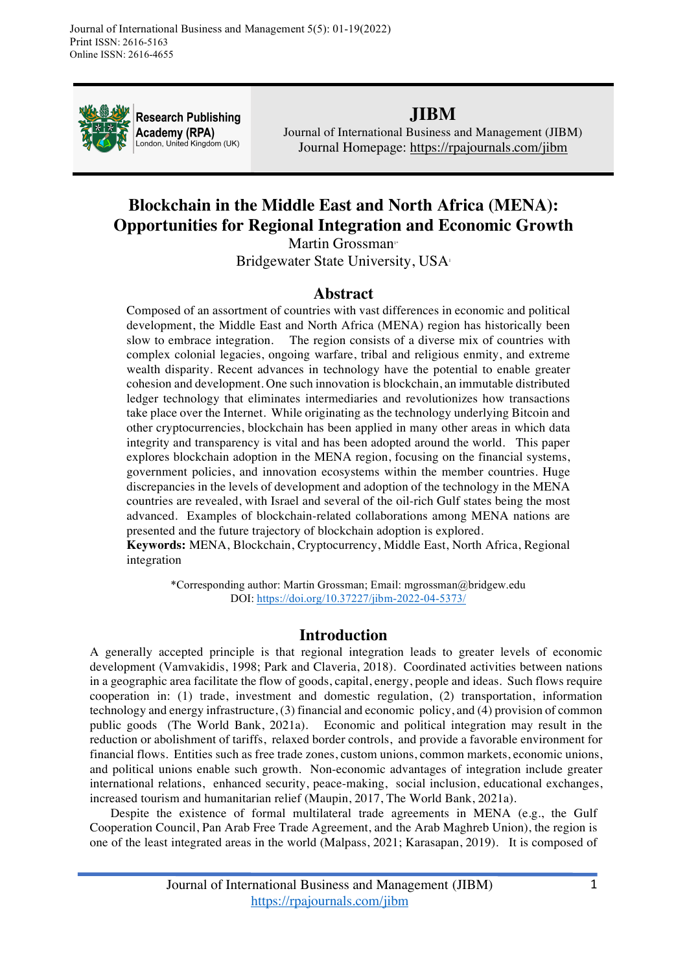

**Research Publishing Academy (RPA)** London, United Kingdom (UK)

## **JIBM**

Journal of International Business and Management (JIBM) Journal Homepage: https://rpajournals.com/jibm

# **Blockchain in the Middle East and North Africa (MENA): Opportunities for Regional Integration and Economic Growth**

Martin Grossman<sup>®</sup> Bridgewater State University, USA<sup>1</sup>

### **Abstract**

Composed of an assortment of countries with vast differences in economic and political development, the Middle East and North Africa (MENA) region has historically been slow to embrace integration. The region consists of a diverse mix of countries with complex colonial legacies, ongoing warfare, tribal and religious enmity, and extreme wealth disparity. Recent advances in technology have the potential to enable greater cohesion and development. One such innovation is blockchain, an immutable distributed ledger technology that eliminates intermediaries and revolutionizes how transactions take place over the Internet. While originating as the technology underlying Bitcoin and other cryptocurrencies, blockchain has been applied in many other areas in which data integrity and transparency is vital and has been adopted around the world. This paper explores blockchain adoption in the MENA region, focusing on the financial systems, government policies, and innovation ecosystems within the member countries. Huge discrepancies in the levels of development and adoption of the technology in the MENA countries are revealed, with Israel and several of the oil-rich Gulf states being the most advanced. Examples of blockchain-related collaborations among MENA nations are presented and the future trajectory of blockchain adoption is explored.

**Keywords:** MENA, Blockchain, Cryptocurrency, Middle East, North Africa, Regional integration

\*Corresponding author: Martin Grossman; Email: mgrossman@bridgew.edu DOI: https://doi.org/10.37227/jibm-2022-04-5373/

## **Introduction**

A generally accepted principle is that regional integration leads to greater levels of economic development (Vamvakidis, 1998; Park and Claveria, 2018). Coordinated activities between nations in a geographic area facilitate the flow of goods, capital, energy, people and ideas. Such flows require cooperation in: (1) trade, investment and domestic regulation, (2) transportation, information technology and energy infrastructure, (3) financial and economic policy, and (4) provision of common public goods (The World Bank, 2021a). Economic and political integration may result in the reduction or abolishment of tariffs, relaxed border controls, and provide a favorable environment for financial flows. Entities such as free trade zones, custom unions, common markets, economic unions, and political unions enable such growth. Non-economic advantages of integration include greater international relations, enhanced security, peace-making, social inclusion, educational exchanges, increased tourism and humanitarian relief (Maupin, 2017, The World Bank, 2021a).

Despite the existence of formal multilateral trade agreements in MENA (e.g., the Gulf Cooperation Council, Pan Arab Free Trade Agreement, and the Arab Maghreb Union), the region is one of the least integrated areas in the world (Malpass, 2021; Karasapan, 2019). It is composed of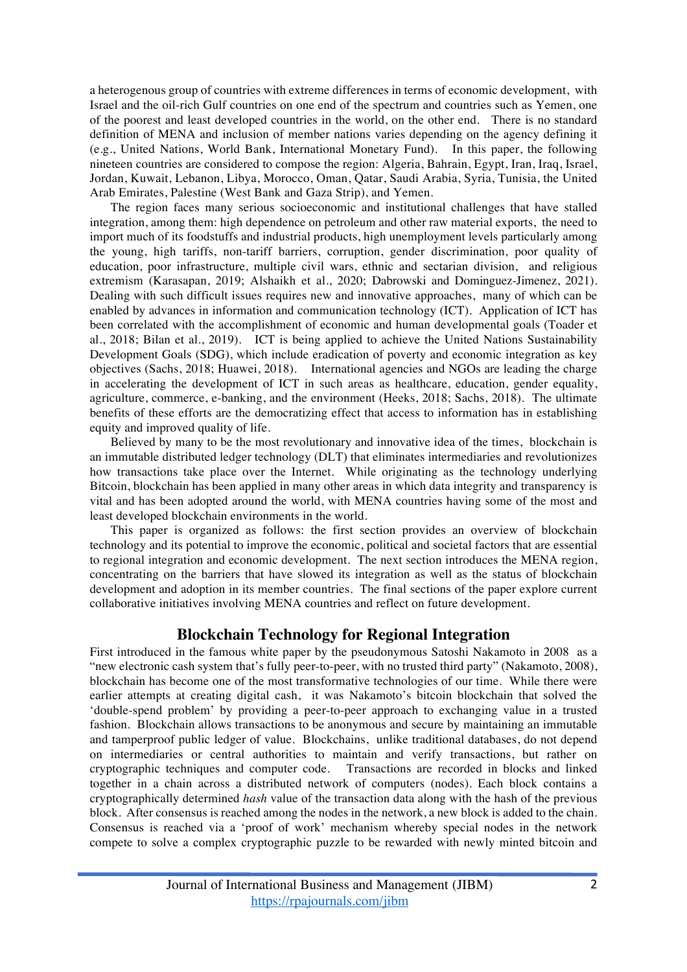a heterogenous group of countries with extreme differences in terms of economic development, with Israel and the oil-rich Gulf countries on one end of the spectrum and countries such as Yemen, one of the poorest and least developed countries in the world, on the other end. There is no standard definition of MENA and inclusion of member nations varies depending on the agency defining it (e.g., United Nations, World Bank, International Monetary Fund). In this paper, the following nineteen countries are considered to compose the region: Algeria, Bahrain, Egypt, Iran, Iraq, Israel, Jordan, Kuwait, Lebanon, Libya, Morocco, Oman, Qatar, Saudi Arabia, Syria, Tunisia, the United Arab Emirates, Palestine (West Bank and Gaza Strip), and Yemen.

The region faces many serious socioeconomic and institutional challenges that have stalled integration, among them: high dependence on petroleum and other raw material exports, the need to import much of its foodstuffs and industrial products, high unemployment levels particularly among the young, high tariffs, non-tariff barriers, corruption, gender discrimination, poor quality of education, poor infrastructure, multiple civil wars, ethnic and sectarian division, and religious extremism (Karasapan, 2019; Alshaikh et al., 2020; Dabrowski and Dominguez-Jimenez, 2021). Dealing with such difficult issues requires new and innovative approaches, many of which can be enabled by advances in information and communication technology (ICT). Application of ICT has been correlated with the accomplishment of economic and human developmental goals (Toader et al., 2018; Bilan et al., 2019). ICT is being applied to achieve the United Nations Sustainability Development Goals (SDG), which include eradication of poverty and economic integration as key objectives (Sachs, 2018; Huawei, 2018). International agencies and NGOs are leading the charge in accelerating the development of ICT in such areas as healthcare, education, gender equality, agriculture, commerce, e-banking, and the environment (Heeks, 2018; Sachs, 2018). The ultimate benefits of these efforts are the democratizing effect that access to information has in establishing equity and improved quality of life.

Believed by many to be the most revolutionary and innovative idea of the times, blockchain is an immutable distributed ledger technology (DLT) that eliminates intermediaries and revolutionizes how transactions take place over the Internet. While originating as the technology underlying Bitcoin, blockchain has been applied in many other areas in which data integrity and transparency is vital and has been adopted around the world, with MENA countries having some of the most and least developed blockchain environments in the world.

This paper is organized as follows: the first section provides an overview of blockchain technology and its potential to improve the economic, political and societal factors that are essential to regional integration and economic development. The next section introduces the MENA region, concentrating on the barriers that have slowed its integration as well as the status of blockchain development and adoption in its member countries. The final sections of the paper explore current collaborative initiatives involving MENA countries and reflect on future development.

### **Blockchain Technology for Regional Integration**

First introduced in the famous white paper by the pseudonymous Satoshi Nakamoto in 2008 as a "new electronic cash system that's fully peer-to-peer, with no trusted third party" (Nakamoto, 2008), blockchain has become one of the most transformative technologies of our time. While there were earlier attempts at creating digital cash, it was Nakamoto's bitcoin blockchain that solved the 'double-spend problem' by providing a peer-to-peer approach to exchanging value in a trusted fashion. Blockchain allows transactions to be anonymous and secure by maintaining an immutable and tamperproof public ledger of value. Blockchains, unlike traditional databases, do not depend on intermediaries or central authorities to maintain and verify transactions, but rather on cryptographic techniques and computer code. Transactions are recorded in blocks and linked together in a chain across a distributed network of computers (nodes). Each block contains a cryptographically determined *hash* value of the transaction data along with the hash of the previous block. After consensus is reached among the nodes in the network, a new block is added to the chain. Consensus is reached via a 'proof of work' mechanism whereby special nodes in the network compete to solve a complex cryptographic puzzle to be rewarded with newly minted bitcoin and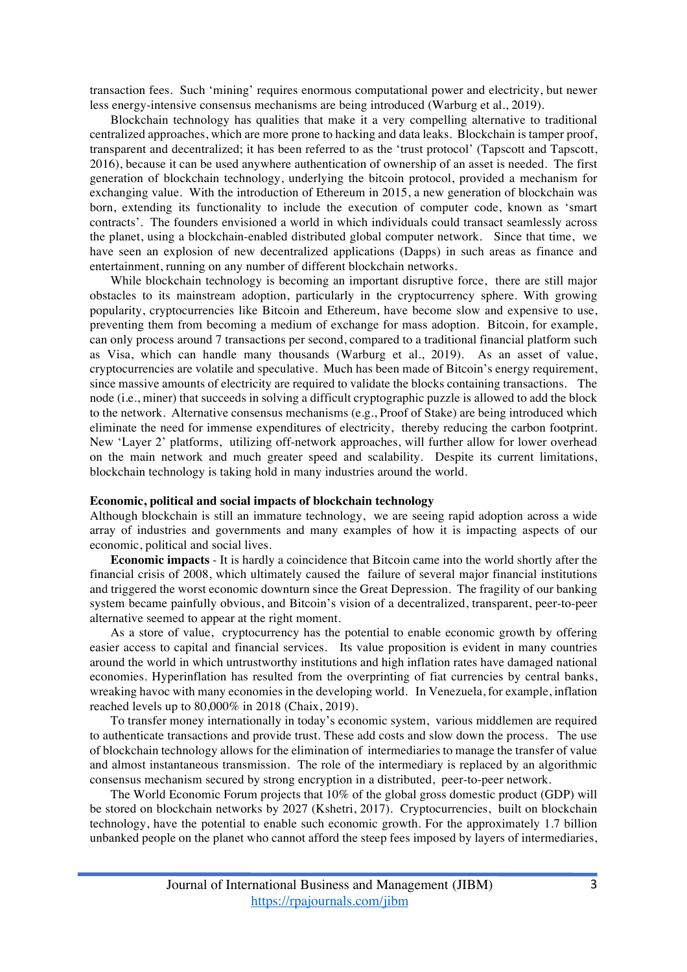transaction fees. Such 'mining' requires enormous computational power and electricity, but newer less energy-intensive consensus mechanisms are being introduced (Warburg et al., 2019).

Blockchain technology has qualities that make it a very compelling alternative to traditional centralized approaches, which are more prone to hacking and data leaks. Blockchain is tamper proof, transparent and decentralized; it has been referred to as the 'trust protocol' (Tapscott and Tapscott, 2016), because it can be used anywhere authentication of ownership of an asset is needed. The first generation of blockchain technology, underlying the bitcoin protocol, provided a mechanism for exchanging value. With the introduction of Ethereum in 2015, a new generation of blockchain was born, extending its functionality to include the execution of computer code, known as 'smart contracts'. The founders envisioned a world in which individuals could transact seamlessly across the planet, using a blockchain-enabled distributed global computer network. Since that time, we have seen an explosion of new decentralized applications (Dapps) in such areas as finance and entertainment, running on any number of different blockchain networks.

While blockchain technology is becoming an important disruptive force, there are still major obstacles to its mainstream adoption, particularly in the cryptocurrency sphere. With growing popularity, cryptocurrencies like Bitcoin and Ethereum, have become slow and expensive to use, preventing them from becoming a medium of exchange for mass adoption. Bitcoin, for example, can only process around 7 transactions per second, compared to a traditional financial platform such as Visa, which can handle many thousands (Warburg et al., 2019). As an asset of value, cryptocurrencies are volatile and speculative. Much has been made of Bitcoin's energy requirement, since massive amounts of electricity are required to validate the blocks containing transactions. The node (i.e., miner) that succeeds in solving a difficult cryptographic puzzle is allowed to add the block to the network. Alternative consensus mechanisms (e.g., Proof of Stake) are being introduced which eliminate the need for immense expenditures of electricity, thereby reducing the carbon footprint. New 'Layer 2' platforms, utilizing off-network approaches, will further allow for lower overhead on the main network and much greater speed and scalability. Despite its current limitations, blockchain technology is taking hold in many industries around the world.

#### **Economic, political and social impacts of blockchain technology**

Although blockchain is still an immature technology, we are seeing rapid adoption across a wide array of industries and governments and many examples of how it is impacting aspects of our economic, political and social lives.

**Economic impacts** - It is hardly a coincidence that Bitcoin came into the world shortly after the financial crisis of 2008, which ultimately caused the failure of several major financial institutions and triggered the worst economic downturn since the Great Depression. The fragility of our banking system became painfully obvious, and Bitcoin's vision of a decentralized, transparent, peer-to-peer alternative seemed to appear at the right moment.

As a store of value, cryptocurrency has the potential to enable economic growth by offering easier access to capital and financial services. Its value proposition is evident in many countries around the world in which untrustworthy institutions and high inflation rates have damaged national economies. Hyperinflation has resulted from the overprinting of fiat currencies by central banks, wreaking havoc with many economies in the developing world. In Venezuela, for example, inflation reached levels up to 80,000% in 2018 (Chaix, 2019).

To transfer money internationally in today's economic system, various middlemen are required to authenticate transactions and provide trust. These add costs and slow down the process. The use of blockchain technology allows for the elimination of intermediaries to manage the transfer of value and almost instantaneous transmission. The role of the intermediary is replaced by an algorithmic consensus mechanism secured by strong encryption in a distributed, peer-to-peer network.

The World Economic Forum projects that 10% of the global gross domestic product (GDP) will be stored on blockchain networks by 2027 (Kshetri, 2017). Cryptocurrencies, built on blockchain technology, have the potential to enable such economic growth. For the approximately 1.7 billion unbanked people on the planet who cannot afford the steep fees imposed by layers of intermediaries,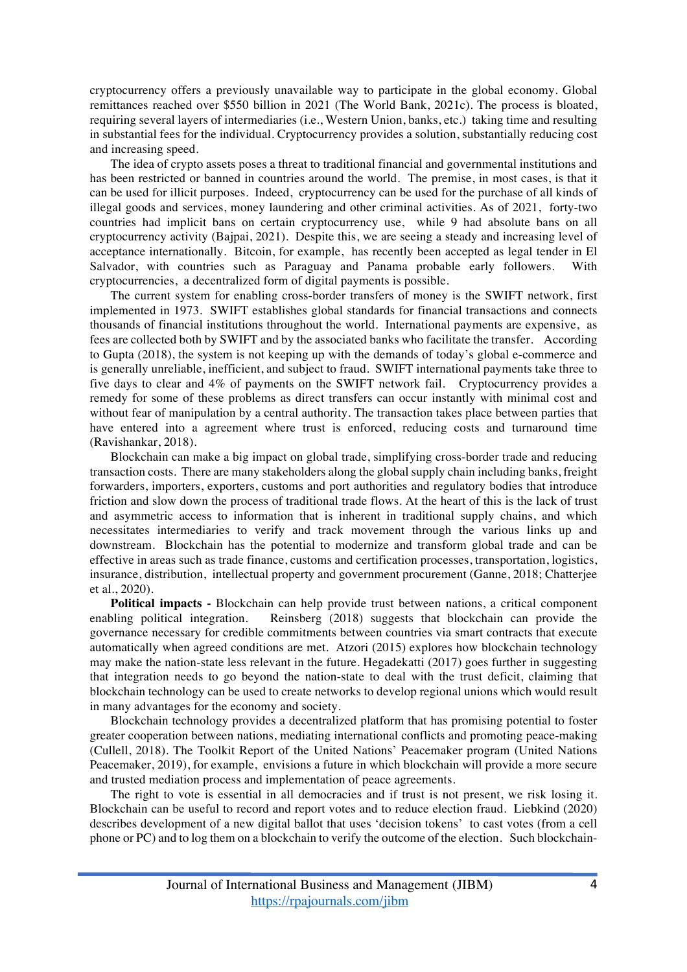cryptocurrency offers a previously unavailable way to participate in the global economy. Global remittances reached over \$550 billion in 2021 (The World Bank, 2021c). The process is bloated, requiring several layers of intermediaries (i.e., Western Union, banks, etc.) taking time and resulting in substantial fees for the individual. Cryptocurrency provides a solution, substantially reducing cost and increasing speed.

The idea of crypto assets poses a threat to traditional financial and governmental institutions and has been restricted or banned in countries around the world. The premise, in most cases, is that it can be used for illicit purposes. Indeed, cryptocurrency can be used for the purchase of all kinds of illegal goods and services, money laundering and other criminal activities. As of 2021, forty-two countries had implicit bans on certain cryptocurrency use, while 9 had absolute bans on all cryptocurrency activity (Bajpai, 2021). Despite this, we are seeing a steady and increasing level of acceptance internationally. Bitcoin, for example, has recently been accepted as legal tender in El Salvador, with countries such as Paraguay and Panama probable early followers. With cryptocurrencies, a decentralized form of digital payments is possible.

The current system for enabling cross-border transfers of money is the SWIFT network, first implemented in 1973. SWIFT establishes global standards for financial transactions and connects thousands of financial institutions throughout the world. International payments are expensive, as fees are collected both by SWIFT and by the associated banks who facilitate the transfer. According to Gupta (2018), the system is not keeping up with the demands of today's global e-commerce and is generally unreliable, inefficient, and subject to fraud. SWIFT international payments take three to five days to clear and 4% of payments on the SWIFT network fail. Cryptocurrency provides a remedy for some of these problems as direct transfers can occur instantly with minimal cost and without fear of manipulation by a central authority. The transaction takes place between parties that have entered into a agreement where trust is enforced, reducing costs and turnaround time (Ravishankar, 2018).

Blockchain can make a big impact on global trade, simplifying cross-border trade and reducing transaction costs. There are many stakeholders along the global supply chain including banks, freight forwarders, importers, exporters, customs and port authorities and regulatory bodies that introduce friction and slow down the process of traditional trade flows. At the heart of this is the lack of trust and asymmetric access to information that is inherent in traditional supply chains, and which necessitates intermediaries to verify and track movement through the various links up and downstream. Blockchain has the potential to modernize and transform global trade and can be effective in areas such as trade finance, customs and certification processes, transportation, logistics, insurance, distribution, intellectual property and government procurement (Ganne, 2018; Chatterjee et al., 2020).

**Political impacts -** Blockchain can help provide trust between nations, a critical component enabling political integration. Reinsberg (2018) suggests that blockchain can provide the governance necessary for credible commitments between countries via smart contracts that execute automatically when agreed conditions are met. Atzori (2015) explores how blockchain technology may make the nation-state less relevant in the future. Hegadekatti (2017) goes further in suggesting that integration needs to go beyond the nation-state to deal with the trust deficit, claiming that blockchain technology can be used to create networks to develop regional unions which would result in many advantages for the economy and society.

Blockchain technology provides a decentralized platform that has promising potential to foster greater cooperation between nations, mediating international conflicts and promoting peace-making (Cullell, 2018). The Toolkit Report of the United Nations' Peacemaker program (United Nations Peacemaker, 2019), for example, envisions a future in which blockchain will provide a more secure and trusted mediation process and implementation of peace agreements.

The right to vote is essential in all democracies and if trust is not present, we risk losing it. Blockchain can be useful to record and report votes and to reduce election fraud. Liebkind (2020) describes development of a new digital ballot that uses 'decision tokens' to cast votes (from a cell phone or PC) and to log them on a blockchain to verify the outcome of the election. Such blockchain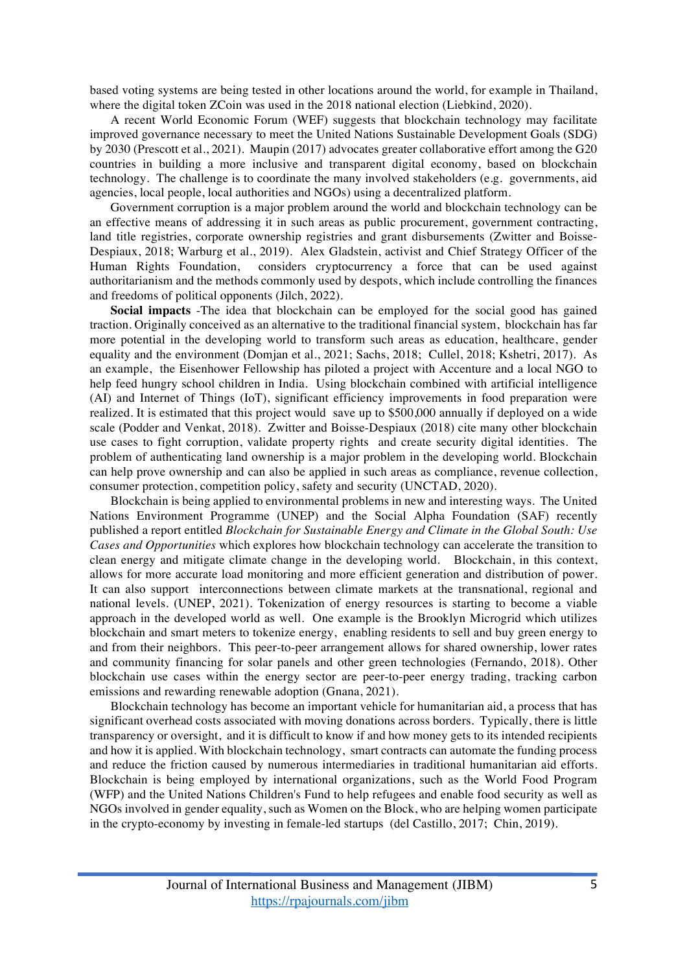based voting systems are being tested in other locations around the world, for example in Thailand, where the digital token ZCoin was used in the 2018 national election (Liebkind, 2020).

A recent World Economic Forum (WEF) suggests that blockchain technology may facilitate improved governance necessary to meet the United Nations Sustainable Development Goals (SDG) by 2030 (Prescott et al., 2021). Maupin (2017) advocates greater collaborative effort among the G20 countries in building a more inclusive and transparent digital economy, based on blockchain technology. The challenge is to coordinate the many involved stakeholders (e.g. governments, aid agencies, local people, local authorities and NGOs) using a decentralized platform.

Government corruption is a major problem around the world and blockchain technology can be an effective means of addressing it in such areas as public procurement, government contracting, land title registries, corporate ownership registries and grant disbursements (Zwitter and Boisse-Despiaux, 2018; Warburg et al., 2019). Alex Gladstein, activist and Chief Strategy Officer of the Human Rights Foundation, considers cryptocurrency a force that can be used against authoritarianism and the methods commonly used by despots, which include controlling the finances and freedoms of political opponents (Jilch, 2022).

**Social impacts** -The idea that blockchain can be employed for the social good has gained traction. Originally conceived as an alternative to the traditional financial system, blockchain has far more potential in the developing world to transform such areas as education, healthcare, gender equality and the environment (Domjan et al., 2021; Sachs, 2018; Cullel, 2018; Kshetri, 2017). As an example, the Eisenhower Fellowship has piloted a project with Accenture and a local NGO to help feed hungry school children in India. Using blockchain combined with artificial intelligence (AI) and Internet of Things (IoT), significant efficiency improvements in food preparation were realized. It is estimated that this project would save up to \$500,000 annually if deployed on a wide scale (Podder and Venkat, 2018). Zwitter and Boisse-Despiaux (2018) cite many other blockchain use cases to fight corruption, validate property rights and create security digital identities. The problem of authenticating land ownership is a major problem in the developing world. Blockchain can help prove ownership and can also be applied in such areas as compliance, revenue collection, consumer protection, competition policy, safety and security (UNCTAD, 2020).

Blockchain is being applied to environmental problems in new and interesting ways. The United Nations Environment Programme (UNEP) and the Social Alpha Foundation (SAF) recently published a report entitled *Blockchain for Sustainable Energy and Climate in the Global South: Use Cases and Opportunities* which explores how blockchain technology can accelerate the transition to clean energy and mitigate climate change in the developing world. Blockchain, in this context, allows for more accurate load monitoring and more efficient generation and distribution of power. It can also support interconnections between climate markets at the transnational, regional and national levels. (UNEP, 2021). Tokenization of energy resources is starting to become a viable approach in the developed world as well. One example is the Brooklyn Microgrid which utilizes blockchain and smart meters to tokenize energy, enabling residents to sell and buy green energy to and from their neighbors. This peer-to-peer arrangement allows for shared ownership, lower rates and community financing for solar panels and other green technologies (Fernando, 2018). Other blockchain use cases within the energy sector are peer-to-peer energy trading, tracking carbon emissions and rewarding renewable adoption (Gnana, 2021).

Blockchain technology has become an important vehicle for humanitarian aid, a process that has significant overhead costs associated with moving donations across borders. Typically, there is little transparency or oversight, and it is difficult to know if and how money gets to its intended recipients and how it is applied. With blockchain technology, smart contracts can automate the funding process and reduce the friction caused by numerous intermediaries in traditional humanitarian aid efforts. Blockchain is being employed by international organizations, such as the World Food Program (WFP) and the United Nations Children's Fund to help refugees and enable food security as well as NGOs involved in gender equality, such as Women on the Block, who are helping women participate in the crypto-economy by investing in female-led startups (del Castillo, 2017; Chin, 2019).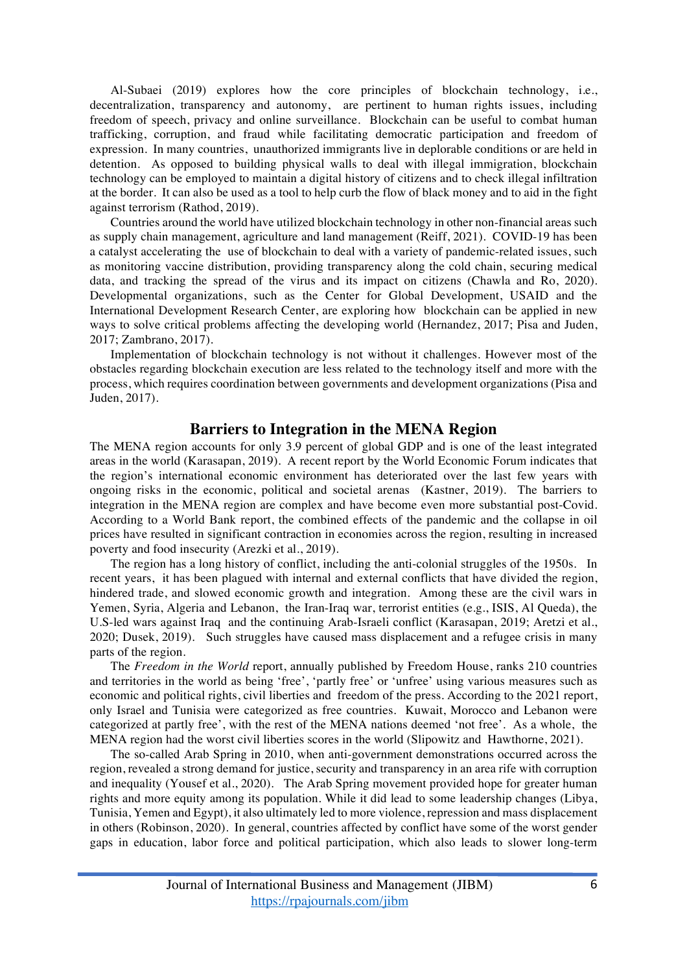Al-Subaei (2019) explores how the core principles of blockchain technology, i.e., decentralization, transparency and autonomy, are pertinent to human rights issues, including freedom of speech, privacy and online surveillance. Blockchain can be useful to combat human trafficking, corruption, and fraud while facilitating democratic participation and freedom of expression. In many countries, unauthorized immigrants live in deplorable conditions or are held in detention. As opposed to building physical walls to deal with illegal immigration, blockchain technology can be employed to maintain a digital history of citizens and to check illegal infiltration at the border. It can also be used as a tool to help curb the flow of black money and to aid in the fight against terrorism (Rathod, 2019).

Countries around the world have utilized blockchain technology in other non-financial areas such as supply chain management, agriculture and land management (Reiff, 2021). COVID-19 has been a catalyst accelerating the use of blockchain to deal with a variety of pandemic-related issues, such as monitoring vaccine distribution, providing transparency along the cold chain, securing medical data, and tracking the spread of the virus and its impact on citizens (Chawla and Ro, 2020). Developmental organizations, such as the Center for Global Development, USAID and the International Development Research Center, are exploring how blockchain can be applied in new ways to solve critical problems affecting the developing world (Hernandez, 2017; Pisa and Juden, 2017; Zambrano, 2017).

Implementation of blockchain technology is not without it challenges. However most of the obstacles regarding blockchain execution are less related to the technology itself and more with the process, which requires coordination between governments and development organizations (Pisa and Juden, 2017).

#### **Barriers to Integration in the MENA Region**

The MENA region accounts for only 3.9 percent of global GDP and is one of the least integrated areas in the world (Karasapan, 2019). A recent report by the World Economic Forum indicates that the region's international economic environment has deteriorated over the last few years with ongoing risks in the economic, political and societal arenas (Kastner, 2019). The barriers to integration in the MENA region are complex and have become even more substantial post-Covid. According to a World Bank report, the combined effects of the pandemic and the collapse in oil prices have resulted in significant contraction in economies across the region, resulting in increased poverty and food insecurity (Arezki et al., 2019).

The region has a long history of conflict, including the anti-colonial struggles of the 1950s. In recent years, it has been plagued with internal and external conflicts that have divided the region, hindered trade, and slowed economic growth and integration. Among these are the civil wars in Yemen, Syria, Algeria and Lebanon, the Iran-Iraq war, terrorist entities (e.g., ISIS, Al Queda), the U.S-led wars against Iraq and the continuing Arab-Israeli conflict (Karasapan, 2019; Aretzi et al., 2020; Dusek, 2019). Such struggles have caused mass displacement and a refugee crisis in many parts of the region.

The *Freedom in the World* report, annually published by Freedom House, ranks 210 countries and territories in the world as being 'free', 'partly free' or 'unfree' using various measures such as economic and political rights, civil liberties and freedom of the press. According to the 2021 report, only Israel and Tunisia were categorized as free countries. Kuwait, Morocco and Lebanon were categorized at partly free', with the rest of the MENA nations deemed 'not free'. As a whole, the MENA region had the worst civil liberties scores in the world (Slipowitz and Hawthorne, 2021).

The so-called Arab Spring in 2010, when anti-government demonstrations occurred across the region, revealed a strong demand for justice, security and transparency in an area rife with corruption and inequality (Yousef et al., 2020). The Arab Spring movement provided hope for greater human rights and more equity among its population. While it did lead to some leadership changes (Libya, Tunisia, Yemen and Egypt), it also ultimately led to more violence, repression and mass displacement in others (Robinson, 2020). In general, countries affected by conflict have some of the worst gender gaps in education, labor force and political participation, which also leads to slower long-term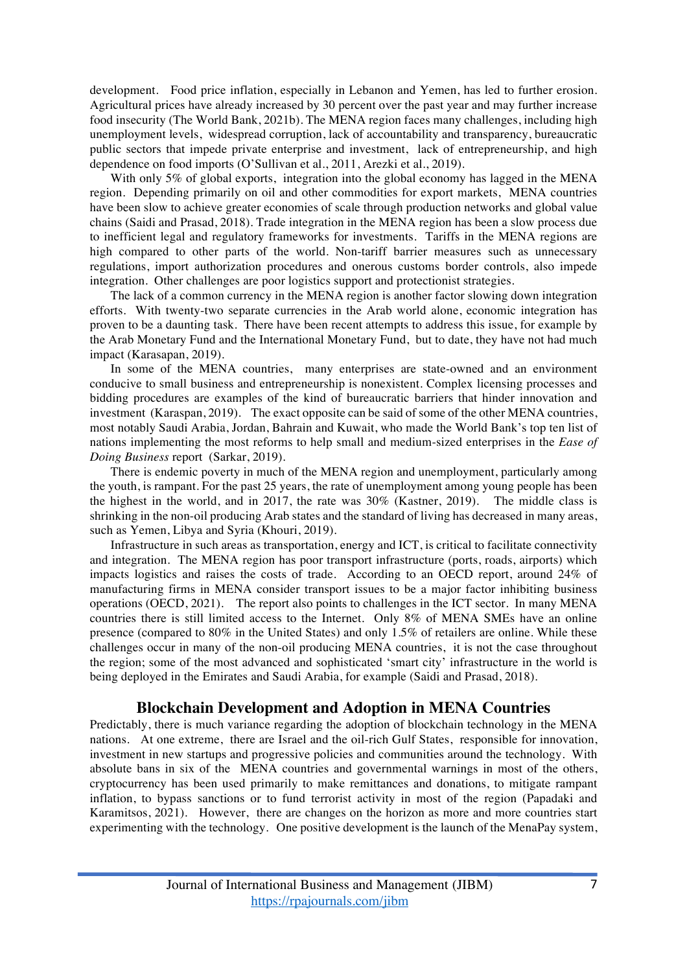development. Food price inflation, especially in Lebanon and Yemen, has led to further erosion. Agricultural prices have already increased by 30 percent over the past year and may further increase food insecurity (The World Bank, 2021b). The MENA region faces many challenges, including high unemployment levels, widespread corruption, lack of accountability and transparency, bureaucratic public sectors that impede private enterprise and investment, lack of entrepreneurship, and high dependence on food imports (O'Sullivan et al., 2011, Arezki et al., 2019).

With only 5% of global exports, integration into the global economy has lagged in the MENA region. Depending primarily on oil and other commodities for export markets, MENA countries have been slow to achieve greater economies of scale through production networks and global value chains (Saidi and Prasad, 2018). Trade integration in the MENA region has been a slow process due to inefficient legal and regulatory frameworks for investments. Tariffs in the MENA regions are high compared to other parts of the world. Non-tariff barrier measures such as unnecessary regulations, import authorization procedures and onerous customs border controls, also impede integration. Other challenges are poor logistics support and protectionist strategies.

The lack of a common currency in the MENA region is another factor slowing down integration efforts. With twenty-two separate currencies in the Arab world alone, economic integration has proven to be a daunting task. There have been recent attempts to address this issue, for example by the Arab Monetary Fund and the International Monetary Fund, but to date, they have not had much impact (Karasapan, 2019).

In some of the MENA countries, many enterprises are state-owned and an environment conducive to small business and entrepreneurship is nonexistent. Complex licensing processes and bidding procedures are examples of the kind of bureaucratic barriers that hinder innovation and investment (Karaspan, 2019). The exact opposite can be said of some of the other MENA countries, most notably Saudi Arabia, Jordan, Bahrain and Kuwait, who made the World Bank's top ten list of nations implementing the most reforms to help small and medium-sized enterprises in the *Ease of Doing Business* report (Sarkar, 2019).

There is endemic poverty in much of the MENA region and unemployment, particularly among the youth, is rampant. For the past 25 years, the rate of unemployment among young people has been the highest in the world, and in 2017, the rate was 30% (Kastner, 2019). The middle class is shrinking in the non-oil producing Arab states and the standard of living has decreased in many areas, such as Yemen, Libya and Syria (Khouri, 2019).

Infrastructure in such areas as transportation, energy and ICT, is critical to facilitate connectivity and integration. The MENA region has poor transport infrastructure (ports, roads, airports) which impacts logistics and raises the costs of trade. According to an OECD report, around 24% of manufacturing firms in MENA consider transport issues to be a major factor inhibiting business operations (OECD, 2021). The report also points to challenges in the ICT sector. In many MENA countries there is still limited access to the Internet. Only 8% of MENA SMEs have an online presence (compared to 80% in the United States) and only 1.5% of retailers are online. While these challenges occur in many of the non-oil producing MENA countries, it is not the case throughout the region; some of the most advanced and sophisticated 'smart city' infrastructure in the world is being deployed in the Emirates and Saudi Arabia, for example (Saidi and Prasad, 2018).

#### **Blockchain Development and Adoption in MENA Countries**

Predictably, there is much variance regarding the adoption of blockchain technology in the MENA nations. At one extreme, there are Israel and the oil-rich Gulf States, responsible for innovation, investment in new startups and progressive policies and communities around the technology. With absolute bans in six of the MENA countries and governmental warnings in most of the others, cryptocurrency has been used primarily to make remittances and donations, to mitigate rampant inflation, to bypass sanctions or to fund terrorist activity in most of the region (Papadaki and Karamitsos, 2021). However, there are changes on the horizon as more and more countries start experimenting with the technology. One positive development is the launch of the MenaPay system,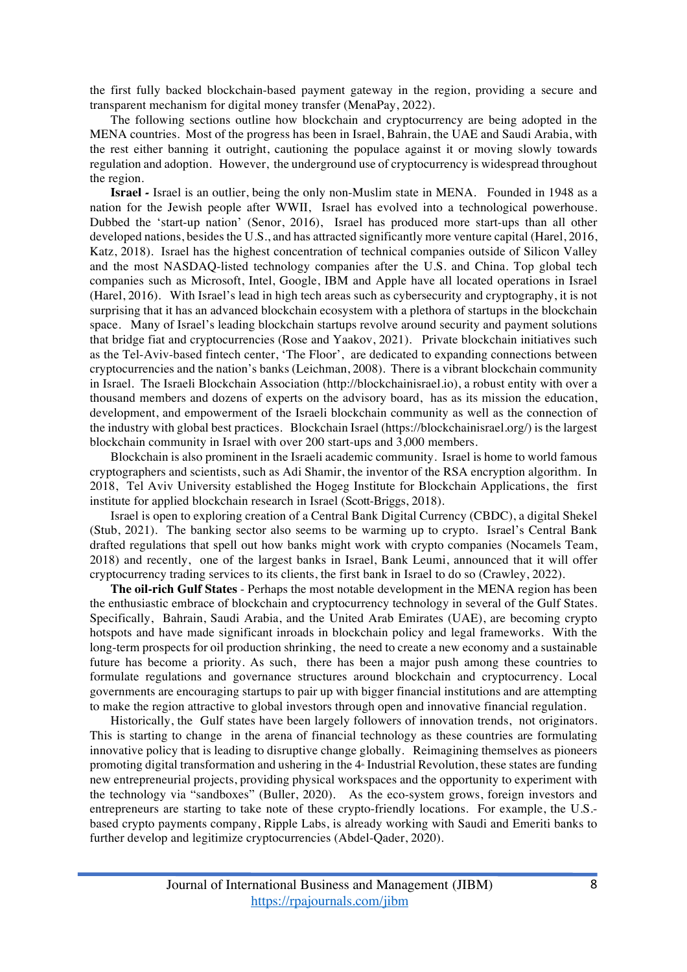the first fully backed blockchain-based payment gateway in the region, providing a secure and transparent mechanism for digital money transfer (MenaPay, 2022).

The following sections outline how blockchain and cryptocurrency are being adopted in the MENA countries. Most of the progress has been in Israel, Bahrain, the UAE and Saudi Arabia, with the rest either banning it outright, cautioning the populace against it or moving slowly towards regulation and adoption. However, the underground use of cryptocurrency is widespread throughout the region.

**Israel** *-* Israel is an outlier, being the only non-Muslim state in MENA. Founded in 1948 as a nation for the Jewish people after WWII, Israel has evolved into a technological powerhouse. Dubbed the 'start-up nation' (Senor, 2016), Israel has produced more start-ups than all other developed nations, besides the U.S., and has attracted significantly more venture capital (Harel, 2016, Katz, 2018). Israel has the highest concentration of technical companies outside of Silicon Valley and the most NASDAQ-listed technology companies after the U.S. and China. Top global tech companies such as Microsoft, Intel, Google, IBM and Apple have all located operations in Israel (Harel, 2016). With Israel's lead in high tech areas such as cybersecurity and cryptography, it is not surprising that it has an advanced blockchain ecosystem with a plethora of startups in the blockchain space. Many of Israel's leading blockchain startups revolve around security and payment solutions that bridge fiat and cryptocurrencies (Rose and Yaakov, 2021). Private blockchain initiatives such as the Tel-Aviv-based fintech center, 'The Floor', are dedicated to expanding connections between cryptocurrencies and the nation's banks (Leichman, 2008). There is a vibrant blockchain community in Israel. The Israeli Blockchain Association (http://blockchainisrael.io), a robust entity with over a thousand members and dozens of experts on the advisory board, has as its mission the education, development, and empowerment of the Israeli blockchain community as well as the connection of the industry with global best practices. Blockchain Israel (https://blockchainisrael.org/) is the largest blockchain community in Israel with over 200 start-ups and 3,000 members.

Blockchain is also prominent in the Israeli academic community. Israel is home to world famous cryptographers and scientists, such as Adi Shamir, the inventor of the RSA encryption algorithm. In 2018, Tel Aviv University established the Hogeg Institute for Blockchain Applications, the first institute for applied blockchain research in Israel (Scott-Briggs, 2018).

Israel is open to exploring creation of a Central Bank Digital Currency (CBDC), a digital Shekel (Stub, 2021). The banking sector also seems to be warming up to crypto. Israel's Central Bank drafted regulations that spell out how banks might work with crypto companies (Nocamels Team, 2018) and recently, one of the largest banks in Israel, Bank Leumi, announced that it will offer cryptocurrency trading services to its clients, the first bank in Israel to do so (Crawley, 2022).

**The oil-rich Gulf States** - Perhaps the most notable development in the MENA region has been the enthusiastic embrace of blockchain and cryptocurrency technology in several of the Gulf States. Specifically, Bahrain, Saudi Arabia, and the United Arab Emirates (UAE), are becoming crypto hotspots and have made significant inroads in blockchain policy and legal frameworks. With the long-term prospects for oil production shrinking, the need to create a new economy and a sustainable future has become a priority. As such, there has been a major push among these countries to formulate regulations and governance structures around blockchain and cryptocurrency. Local governments are encouraging startups to pair up with bigger financial institutions and are attempting to make the region attractive to global investors through open and innovative financial regulation.

Historically, the Gulf states have been largely followers of innovation trends, not originators. This is starting to change in the arena of financial technology as these countries are formulating innovative policy that is leading to disruptive change globally. Reimagining themselves as pioneers promoting digital transformation and ushering in the  $4<sup>*</sup>$  Industrial Revolution, these states are funding new entrepreneurial projects, providing physical workspaces and the opportunity to experiment with the technology via "sandboxes" (Buller, 2020). As the eco-system grows, foreign investors and entrepreneurs are starting to take note of these crypto-friendly locations. For example, the U.S. based crypto payments company, Ripple Labs, is already working with Saudi and Emeriti banks to further develop and legitimize cryptocurrencies (Abdel-Qader, 2020).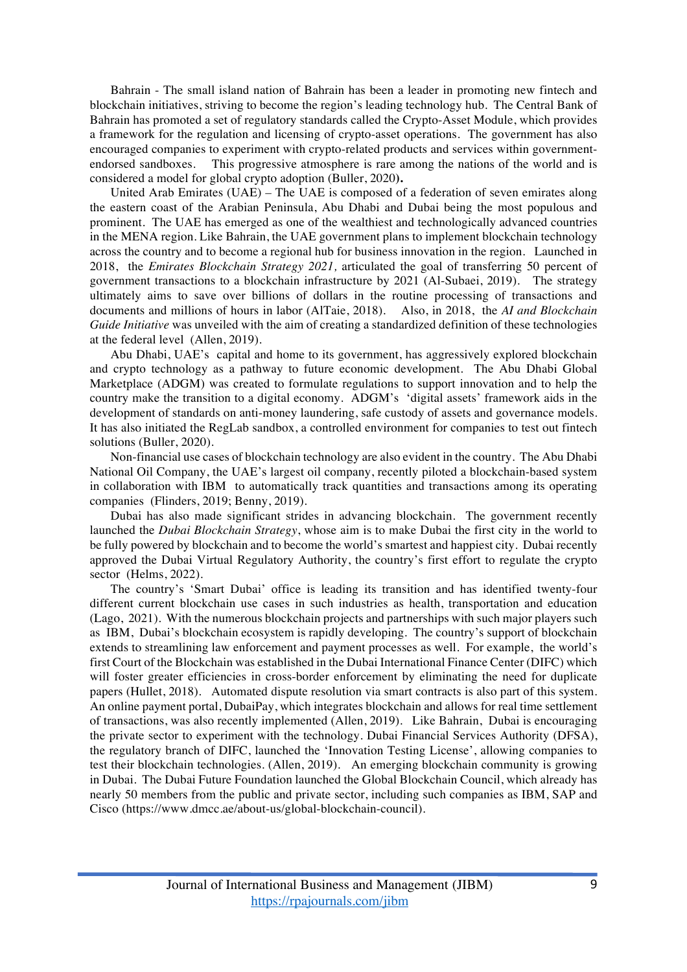Bahrain - The small island nation of Bahrain has been a leader in promoting new fintech and blockchain initiatives, striving to become the region's leading technology hub. The Central Bank of Bahrain has promoted a set of regulatory standards called the Crypto-Asset Module, which provides a framework for the regulation and licensing of crypto-asset operations. The government has also encouraged companies to experiment with crypto-related products and services within governmentendorsed sandboxes. This progressive atmosphere is rare among the nations of the world and is considered a model for global crypto adoption (Buller, 2020**).** 

United Arab Emirates (UAE) *–* The UAE is composed of a federation of seven emirates along the eastern coast of the Arabian Peninsula, Abu Dhabi and Dubai being the most populous and prominent. The UAE has emerged as one of the wealthiest and technologically advanced countries in the MENA region. Like Bahrain, the UAE government plans to implement blockchain technology across the country and to become a regional hub for business innovation in the region. Launched in 2018, the *Emirates Blockchain Strategy 2021,* articulated the goal of transferring 50 percent of government transactions to a blockchain infrastructure by 2021 (Al-Subaei, 2019). The strategy ultimately aims to save over billions of dollars in the routine processing of transactions and documents and millions of hours in labor (AlTaie, 2018). Also, in 2018, the *AI and Blockchain Guide Initiative* was unveiled with the aim of creating a standardized definition of these technologies at the federal level (Allen, 2019).

Abu Dhabi, UAE's capital and home to its government, has aggressively explored blockchain and crypto technology as a pathway to future economic development. The Abu Dhabi Global Marketplace (ADGM) was created to formulate regulations to support innovation and to help the country make the transition to a digital economy. ADGM's 'digital assets' framework aids in the development of standards on anti-money laundering, safe custody of assets and governance models. It has also initiated the RegLab sandbox, a controlled environment for companies to test out fintech solutions (Buller, 2020).

Non-financial use cases of blockchain technology are also evident in the country. The Abu Dhabi National Oil Company, the UAE's largest oil company, recently piloted a blockchain-based system in collaboration with IBM to automatically track quantities and transactions among its operating companies (Flinders, 2019; Benny, 2019).

Dubai has also made significant strides in advancing blockchain. The government recently launched the *Dubai Blockchain Strategy*, whose aim is to make Dubai the first city in the world to be fully powered by blockchain and to become the world's smartest and happiest city. Dubai recently approved the Dubai Virtual Regulatory Authority, the country's first effort to regulate the crypto sector (Helms, 2022).

The country's 'Smart Dubai' office is leading its transition and has identified twenty-four different current blockchain use cases in such industries as health, transportation and education (Lago, 2021). With the numerous blockchain projects and partnerships with such major players such as IBM, Dubai's blockchain ecosystem is rapidly developing. The country's support of blockchain extends to streamlining law enforcement and payment processes as well. For example, the world's first Court of the Blockchain was established in the Dubai International Finance Center (DIFC) which will foster greater efficiencies in cross-border enforcement by eliminating the need for duplicate papers (Hullet, 2018). Automated dispute resolution via smart contracts is also part of this system. An online payment portal, DubaiPay, which integrates blockchain and allows for real time settlement of transactions, was also recently implemented (Allen, 2019). Like Bahrain, Dubai is encouraging the private sector to experiment with the technology. Dubai Financial Services Authority (DFSA), the regulatory branch of DIFC, launched the 'Innovation Testing License', allowing companies to test their blockchain technologies. (Allen, 2019). An emerging blockchain community is growing in Dubai. The Dubai Future Foundation launched the Global Blockchain Council, which already has nearly 50 members from the public and private sector, including such companies as IBM, SAP and Cisco (https://www.dmcc.ae/about-us/global-blockchain-council).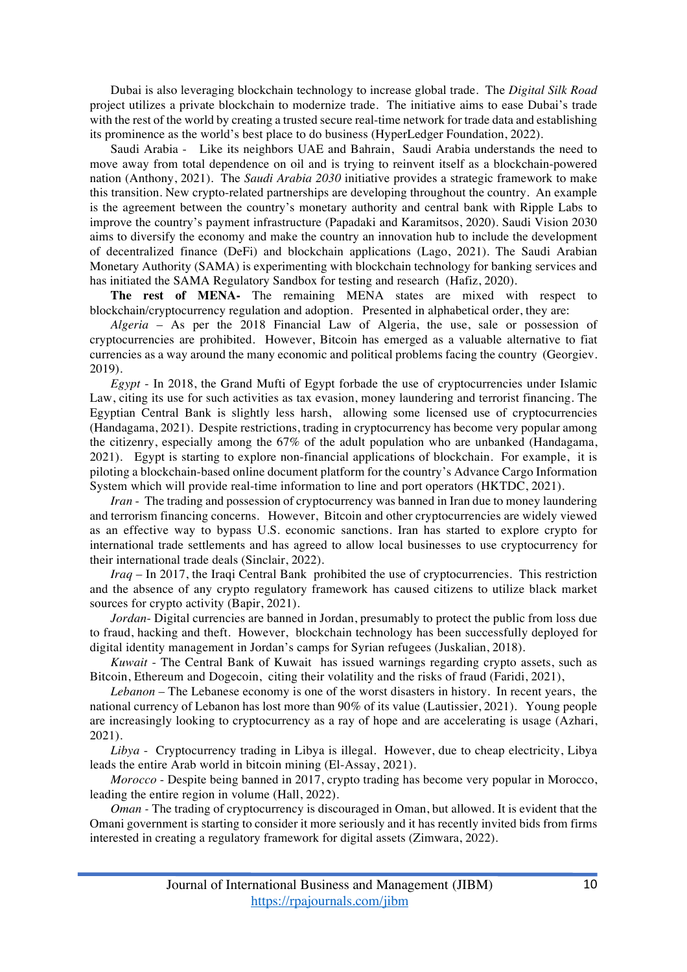Dubai is also leveraging blockchain technology to increase global trade. The *Digital Silk Road* project utilizes a private blockchain to modernize trade. The initiative aims to ease Dubai's trade with the rest of the world by creating a trusted secure real-time network for trade data and establishing its prominence as the world's best place to do business (HyperLedger Foundation, 2022).

Saudi Arabia - Like its neighbors UAE and Bahrain, Saudi Arabia understands the need to move away from total dependence on oil and is trying to reinvent itself as a blockchain-powered nation (Anthony, 2021). The *Saudi Arabia 2030* initiative provides a strategic framework to make this transition. New crypto-related partnerships are developing throughout the country. An example is the agreement between the country's monetary authority and central bank with Ripple Labs to improve the country's payment infrastructure (Papadaki and Karamitsos, 2020). Saudi Vision 2030 aims to diversify the economy and make the country an innovation hub to include the development of decentralized finance (DeFi) and blockchain applications (Lago, 2021). The Saudi Arabian Monetary Authority (SAMA) is experimenting with blockchain technology for banking services and has initiated the SAMA Regulatory Sandbox for testing and research (Hafiz, 2020).

**The rest of MENA-** The remaining MENA states are mixed with respect to blockchain/cryptocurrency regulation and adoption. Presented in alphabetical order, they are:

*Algeria* – As per the 2018 Financial Law of Algeria, the use, sale or possession of cryptocurrencies are prohibited. However, Bitcoin has emerged as a valuable alternative to fiat currencies as a way around the many economic and political problems facing the country (Georgiev. 2019).

*Egypt* - In 2018, the Grand Mufti of Egypt forbade the use of cryptocurrencies under Islamic Law, citing its use for such activities as tax evasion, money laundering and terrorist financing. The Egyptian Central Bank is slightly less harsh, allowing some licensed use of cryptocurrencies (Handagama, 2021). Despite restrictions, trading in cryptocurrency has become very popular among the citizenry, especially among the 67% of the adult population who are unbanked (Handagama, 2021). Egypt is starting to explore non-financial applications of blockchain. For example, it is piloting a blockchain-based online document platform for the country's Advance Cargo Information System which will provide real-time information to line and port operators (HKTDC, 2021).

*Iran* - The trading and possession of cryptocurrency was banned in Iran due to money laundering and terrorism financing concerns. However, Bitcoin and other cryptocurrencies are widely viewed as an effective way to bypass U.S. economic sanctions. Iran has started to explore crypto for international trade settlements and has agreed to allow local businesses to use cryptocurrency for their international trade deals (Sinclair, 2022).

*Iraq* – In 2017, the Iraqi Central Bank prohibited the use of cryptocurrencies. This restriction and the absence of any crypto regulatory framework has caused citizens to utilize black market sources for crypto activity (Bapir, 2021).

*Jordan*- Digital currencies are banned in Jordan, presumably to protect the public from loss due to fraud, hacking and theft. However, blockchain technology has been successfully deployed for digital identity management in Jordan's camps for Syrian refugees (Juskalian, 2018).

*Kuwait* - The Central Bank of Kuwait has issued warnings regarding crypto assets, such as Bitcoin, Ethereum and Dogecoin, citing their volatility and the risks of fraud (Faridi, 2021),

*Lebanon* – The Lebanese economy is one of the worst disasters in history. In recent years, the national currency of Lebanon has lost more than 90% of its value (Lautissier, 2021). Young people are increasingly looking to cryptocurrency as a ray of hope and are accelerating is usage (Azhari, 2021).

*Libya* - Cryptocurrency trading in Libya is illegal. However, due to cheap electricity, Libya leads the entire Arab world in bitcoin mining (El-Assay, 2021).

*Morocco* - Despite being banned in 2017, crypto trading has become very popular in Morocco, leading the entire region in volume (Hall, 2022).

*Oman -* The trading of cryptocurrency is discouraged in Oman, but allowed. It is evident that the Omani government is starting to consider it more seriously and it has recently invited bids from firms interested in creating a regulatory framework for digital assets (Zimwara, 2022).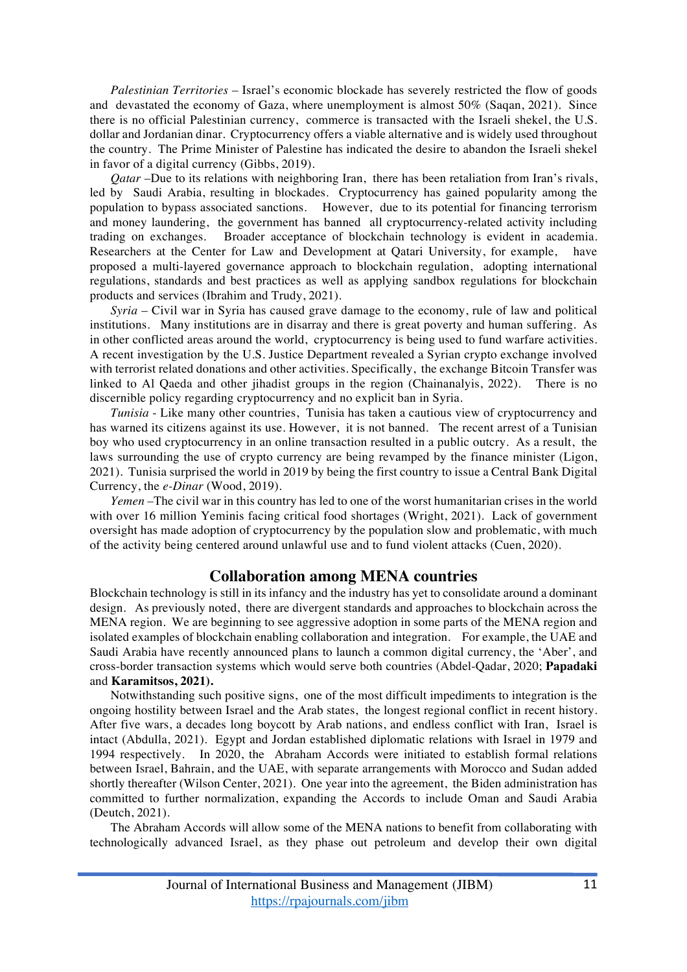*Palestinian Territories* – Israel's economic blockade has severely restricted the flow of goods and devastated the economy of Gaza, where unemployment is almost 50% (Saqan, 2021). Since there is no official Palestinian currency, commerce is transacted with the Israeli shekel, the U.S. dollar and Jordanian dinar. Cryptocurrency offers a viable alternative and is widely used throughout the country. The Prime Minister of Palestine has indicated the desire to abandon the Israeli shekel in favor of a digital currency (Gibbs, 2019).

*Qatar* –Due to its relations with neighboring Iran, there has been retaliation from Iran's rivals, led by Saudi Arabia, resulting in blockades. Cryptocurrency has gained popularity among the population to bypass associated sanctions. However, due to its potential for financing terrorism and money laundering, the government has banned all cryptocurrency-related activity including trading on exchanges. Broader acceptance of blockchain technology is evident in academia. Researchers at the Center for Law and Development at Qatari University, for example, have proposed a multi-layered governance approach to blockchain regulation, adopting international regulations, standards and best practices as well as applying sandbox regulations for blockchain products and services (Ibrahim and Trudy, 2021).

*Syria* – Civil war in Syria has caused grave damage to the economy, rule of law and political institutions. Many institutions are in disarray and there is great poverty and human suffering. As in other conflicted areas around the world, cryptocurrency is being used to fund warfare activities. A recent investigation by the U.S. Justice Department revealed a Syrian crypto exchange involved with terrorist related donations and other activities. Specifically, the exchange Bitcoin Transfer was linked to Al Qaeda and other jihadist groups in the region (Chainanalyis, 2022). There is no discernible policy regarding cryptocurrency and no explicit ban in Syria.

*Tunisia* - Like many other countries, Tunisia has taken a cautious view of cryptocurrency and has warned its citizens against its use. However, it is not banned. The recent arrest of a Tunisian boy who used cryptocurrency in an online transaction resulted in a public outcry. As a result, the laws surrounding the use of crypto currency are being revamped by the finance minister (Ligon, 2021). Tunisia surprised the world in 2019 by being the first country to issue a Central Bank Digital Currency, the *e-Dinar* (Wood, 2019).

*Yemen –*The civil war in this country has led to one of the worst humanitarian crises in the world with over 16 million Yeminis facing critical food shortages (Wright, 2021). Lack of government oversight has made adoption of cryptocurrency by the population slow and problematic, with much of the activity being centered around unlawful use and to fund violent attacks (Cuen, 2020).

### **Collaboration among MENA countries**

Blockchain technology is still in its infancy and the industry has yet to consolidate around a dominant design. As previously noted, there are divergent standards and approaches to blockchain across the MENA region. We are beginning to see aggressive adoption in some parts of the MENA region and isolated examples of blockchain enabling collaboration and integration. For example, the UAE and Saudi Arabia have recently announced plans to launch a common digital currency, the 'Aber', and cross-border transaction systems which would serve both countries (Abdel-Qadar, 2020; **Papadaki** and **Karamitsos, 2021).** 

Notwithstanding such positive signs, one of the most difficult impediments to integration is the ongoing hostility between Israel and the Arab states, the longest regional conflict in recent history. After five wars, a decades long boycott by Arab nations, and endless conflict with Iran, Israel is intact (Abdulla, 2021). Egypt and Jordan established diplomatic relations with Israel in 1979 and 1994 respectively. In 2020, the Abraham Accords were initiated to establish formal relations between Israel, Bahrain, and the UAE, with separate arrangements with Morocco and Sudan added shortly thereafter (Wilson Center, 2021). One year into the agreement, the Biden administration has committed to further normalization, expanding the Accords to include Oman and Saudi Arabia (Deutch, 2021).

The Abraham Accords will allow some of the MENA nations to benefit from collaborating with technologically advanced Israel, as they phase out petroleum and develop their own digital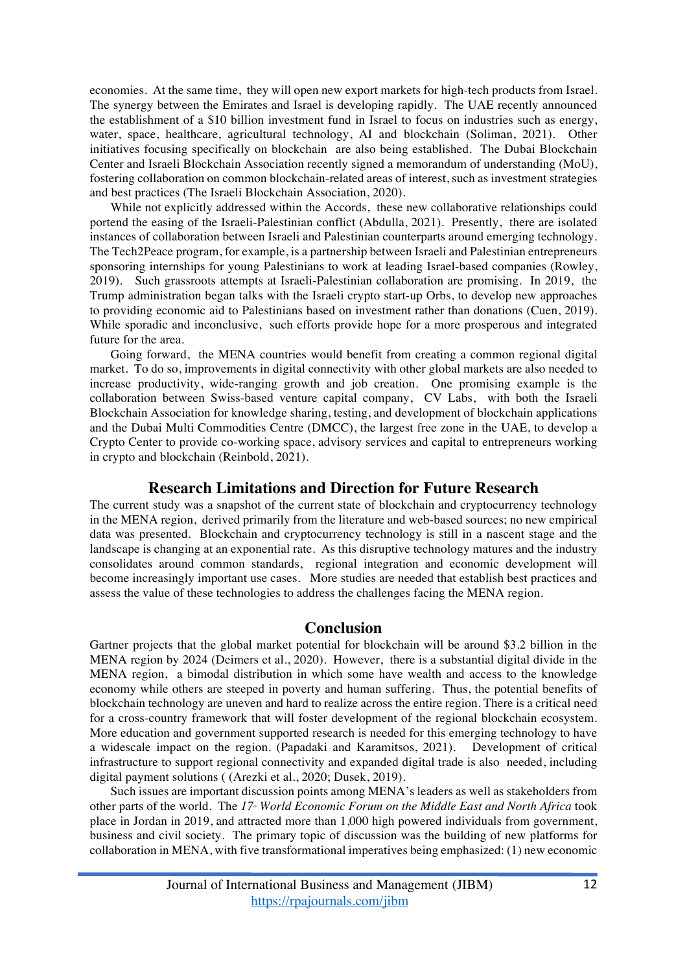economies. At the same time, they will open new export markets for high-tech products from Israel. The synergy between the Emirates and Israel is developing rapidly. The UAE recently announced the establishment of a \$10 billion investment fund in Israel to focus on industries such as energy, water, space, healthcare, agricultural technology, AI and blockchain (Soliman, 2021). Other initiatives focusing specifically on blockchain are also being established. The Dubai Blockchain Center and Israeli Blockchain Association recently signed a memorandum of understanding (MoU), fostering collaboration on common blockchain-related areas of interest, such as investment strategies and best practices (The Israeli Blockchain Association, 2020).

While not explicitly addressed within the Accords, these new collaborative relationships could portend the easing of the Israeli-Palestinian conflict (Abdulla, 2021). Presently, there are isolated instances of collaboration between Israeli and Palestinian counterparts around emerging technology. The Tech2Peace program, for example, is a partnership between Israeli and Palestinian entrepreneurs sponsoring internships for young Palestinians to work at leading Israel-based companies (Rowley, 2019). Such grassroots attempts at Israeli-Palestinian collaboration are promising. In 2019, the Trump administration began talks with the Israeli crypto start-up Orbs, to develop new approaches to providing economic aid to Palestinians based on investment rather than donations (Cuen, 2019). While sporadic and inconclusive, such efforts provide hope for a more prosperous and integrated future for the area.

Going forward, the MENA countries would benefit from creating a common regional digital market. To do so, improvements in digital connectivity with other global markets are also needed to increase productivity, wide-ranging growth and job creation. One promising example is the collaboration between Swiss-based venture capital company, CV Labs, with both the Israeli Blockchain Association for knowledge sharing, testing, and development of blockchain applications and the Dubai Multi Commodities Centre (DMCC), the largest free zone in the UAE, to develop a Crypto Center to provide co-working space, advisory services and capital to entrepreneurs working in crypto and blockchain (Reinbold, 2021).

#### **Research Limitations and Direction for Future Research**

The current study was a snapshot of the current state of blockchain and cryptocurrency technology in the MENA region, derived primarily from the literature and web-based sources; no new empirical data was presented. Blockchain and cryptocurrency technology is still in a nascent stage and the landscape is changing at an exponential rate. As this disruptive technology matures and the industry consolidates around common standards, regional integration and economic development will become increasingly important use cases. More studies are needed that establish best practices and assess the value of these technologies to address the challenges facing the MENA region.

#### **Conclusion**

Gartner projects that the global market potential for blockchain will be around \$3.2 billion in the MENA region by 2024 (Deimers et al., 2020). However, there is a substantial digital divide in the MENA region, a bimodal distribution in which some have wealth and access to the knowledge economy while others are steeped in poverty and human suffering. Thus, the potential benefits of blockchain technology are uneven and hard to realize across the entire region. There is a critical need for a cross-country framework that will foster development of the regional blockchain ecosystem. More education and government supported research is needed for this emerging technology to have a widescale impact on the region. (Papadaki and Karamitsos, 2021). Development of critical infrastructure to support regional connectivity and expanded digital trade is also needed, including digital payment solutions ( (Arezki et al., 2020; Dusek, 2019).

Such issues are important discussion points among MENA's leaders as well as stakeholders from other parts of the world. The 17<sup>\*</sup> *World Economic Forum on the Middle East and North Africa* took place in Jordan in 2019, and attracted more than 1,000 high powered individuals from government, business and civil society. The primary topic of discussion was the building of new platforms for collaboration in MENA, with five transformational imperatives being emphasized: (1) new economic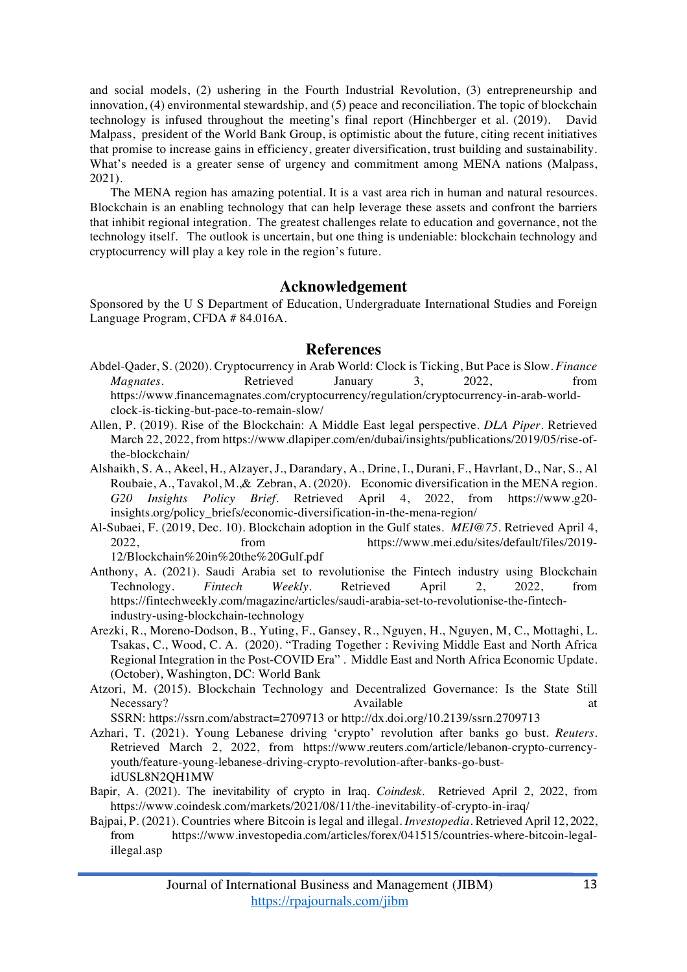and social models, (2) ushering in the Fourth Industrial Revolution, (3) entrepreneurship and innovation, (4) environmental stewardship, and (5) peace and reconciliation. The topic of blockchain technology is infused throughout the meeting's final report (Hinchberger et al. (2019). David Malpass, president of the World Bank Group, is optimistic about the future, citing recent initiatives that promise to increase gains in efficiency, greater diversification, trust building and sustainability. What's needed is a greater sense of urgency and commitment among MENA nations (Malpass, 2021).

The MENA region has amazing potential. It is a vast area rich in human and natural resources. Blockchain is an enabling technology that can help leverage these assets and confront the barriers that inhibit regional integration. The greatest challenges relate to education and governance, not the technology itself. The outlook is uncertain, but one thing is undeniable: blockchain technology and cryptocurrency will play a key role in the region's future.

### **Acknowledgement**

Sponsored by the U S Department of Education, Undergraduate International Studies and Foreign Language Program, CFDA # 84.016A.

#### **References**

- Abdel-Qader, S. (2020). Cryptocurrency in Arab World: Clock is Ticking, But Pace is Slow. *Finance Magnates*. Retrieved January 3, 2022, from https://www.financemagnates.com/cryptocurrency/regulation/cryptocurrency-in-arab-worldclock-is-ticking-but-pace-to-remain-slow/
- Allen, P. (2019). Rise of the Blockchain: A Middle East legal perspective. *DLA Piper*. Retrieved March 22, 2022, from https://www.dlapiper.com/en/dubai/insights/publications/2019/05/rise-ofthe-blockchain/
- Alshaikh, S. A., Akeel, H., Alzayer, J., Darandary, A., Drine, I., Durani, F., Havrlant, D., Nar, S., Al Roubaie, A., Tavakol, M.,& Zebran, A. (2020). Economic diversification in the MENA region. *G20 Insights Policy Brief*. Retrieved April 4, 2022, from https://www.g20 insights.org/policy\_briefs/economic-diversification-in-the-mena-region/
- Al-Subaei, F. (2019, Dec. 10). Blockchain adoption in the Gulf states. *MEI@75*. Retrieved April 4, 2022, from https://www.mei.edu/sites/default/files/2019- 12/Blockchain%20in%20the%20Gulf.pdf
- Anthony, A. (2021). Saudi Arabia set to revolutionise the Fintech industry using Blockchain Technology. *Fintech Weekly*. Retrieved April 2, 2022, from https://fintechweekly.com/magazine/articles/saudi-arabia-set-to-revolutionise-the-fintechindustry-using-blockchain-technology
- Arezki, R., Moreno-Dodson, B., Yuting, F., Gansey, R., Nguyen, H., Nguyen, M, C., Mottaghi, L. Tsakas, C., Wood, C. A. (2020). "Trading Together : Reviving Middle East and North Africa Regional Integration in the Post-COVID Era" . Middle East and North Africa Economic Update. (October), Washington, DC: World Bank
- Atzori, M. (2015). Blockchain Technology and Decentralized Governance: Is the State Still Necessary? Available at Available at a series at a series and a series are a series at a series and a series at a series at a series and a series at a series and a series are a series at a series and a series are a series

SSRN: https://ssrn.com/abstract=2709713 or http://dx.doi.org/10.2139/ssrn.2709713

- Azhari, T. (2021). Young Lebanese driving 'crypto' revolution after banks go bust. *Reuters*. Retrieved March 2, 2022, from https://www.reuters.com/article/lebanon-crypto-currencyyouth/feature-young-lebanese-driving-crypto-revolution-after-banks-go-bustidUSL8N2QH1MW
- Bapir, A. (2021). The inevitability of crypto in Iraq. *Coindesk*. Retrieved April 2, 2022, from https://www.coindesk.com/markets/2021/08/11/the-inevitability-of-crypto-in-iraq/
- Bajpai, P. (2021). Countries where Bitcoin is legal and illegal. *Investopedia*. Retrieved April 12, 2022, from https://www.investopedia.com/articles/forex/041515/countries-where-bitcoin-legalillegal.asp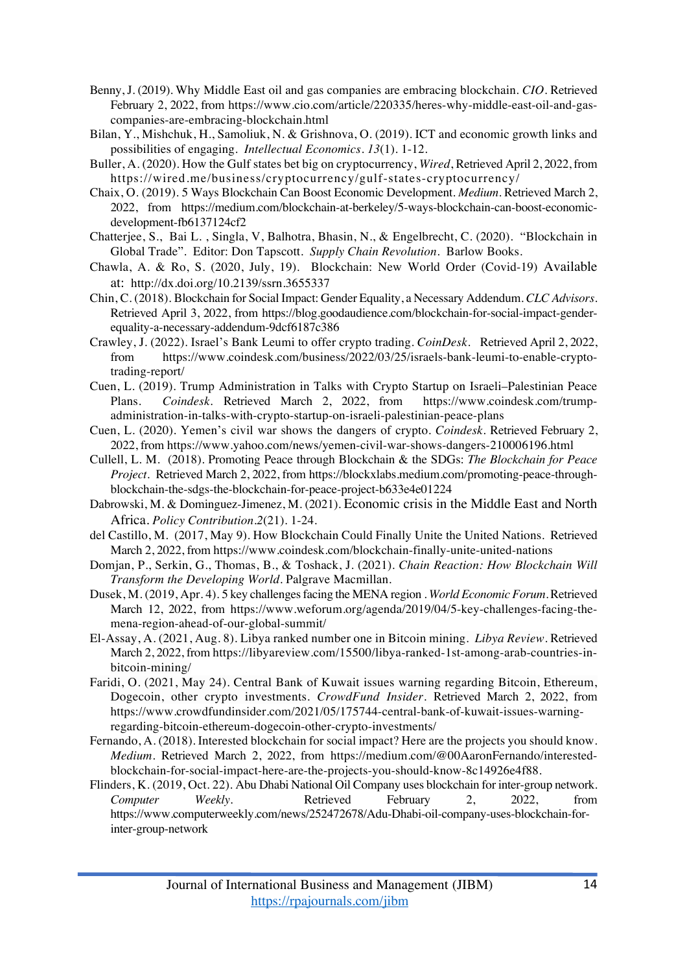- Benny, J. (2019). Why Middle East oil and gas companies are embracing blockchain. *CIO*. Retrieved February 2, 2022, from https://www.cio.com/article/220335/heres-why-middle-east-oil-and-gascompanies-are-embracing-blockchain.html
- Bilan, Y., Mishchuk, H., Samoliuk, N. & Grishnova, O. (2019). ICT and economic growth links and possibilities of engaging. *Intellectual Economics. 13*(1). 1-12.
- Buller, A. (2020). How the Gulf states bet big on cryptocurrency, *Wired*, Retrieved April 2, 2022, from https://wired.me/business/cryptocurrency/gulf-states-cryptocurrency/
- Chaix, O. (2019). 5 Ways Blockchain Can Boost Economic Development. *Medium*. Retrieved March 2, 2022, from https://medium.com/blockchain-at-berkeley/5-ways-blockchain-can-boost-economicdevelopment-fb6137124cf2
- Chatterjee, S., Bai L. , Singla, V, Balhotra, Bhasin, N., & Engelbrecht, C. (2020). "Blockchain in Global Trade". Editor: Don Tapscott. *Supply Chain Revolution*. Barlow Books.
- Chawla, A. & Ro, S. (2020, July, 19). Blockchain: New World Order (Covid-19) Available at: http://dx.doi.org/10.2139/ssrn.3655337
- Chin, C. (2018). Blockchain for Social Impact: Gender Equality, a Necessary Addendum. *CLC Advisors*. Retrieved April 3, 2022, from https://blog.goodaudience.com/blockchain-for-social-impact-genderequality-a-necessary-addendum-9dcf6187c386
- Crawley, J. (2022). Israel's Bank Leumi to offer crypto trading. *CoinDesk*. Retrieved April 2, 2022, from https://www.coindesk.com/business/2022/03/25/israels-bank-leumi-to-enable-cryptotrading-report/
- Cuen, L. (2019). Trump Administration in Talks with Crypto Startup on Israeli–Palestinian Peace Plans. *Coindesk*. Retrieved March 2, 2022, from https://www.coindesk.com/trumpadministration-in-talks-with-crypto-startup-on-israeli-palestinian-peace-plans
- Cuen, L. (2020). Yemen's civil war shows the dangers of crypto. *Coindesk*. Retrieved February 2, 2022, from https://www.yahoo.com/news/yemen-civil-war-shows-dangers-210006196.html
- Cullell, L. M. (2018). Promoting Peace through Blockchain & the SDGs: *The Blockchain for Peace Project*. Retrieved March 2, 2022, from https://blockxlabs.medium.com/promoting-peace-throughblockchain-the-sdgs-the-blockchain-for-peace-project-b633e4e01224
- Dabrowski, M. & Dominguez-Jimenez, M. (2021). Economic crisis in the Middle East and North Africa. *Policy Contribution.2*(21). 1-24.
- del Castillo, M. (2017, May 9). How Blockchain Could Finally Unite the United Nations. Retrieved March 2, 2022, from https://www.coindesk.com/blockchain-finally-unite-united-nations
- Domjan, P., Serkin, G., Thomas, B., & Toshack, J. (2021). *Chain Reaction: How Blockchain Will Transform the Developing World*. Palgrave Macmillan.
- Dusek, M. (2019, Apr. 4). 5 key challenges facing the MENA region . *World Economic Forum*. Retrieved March 12, 2022, from https://www.weforum.org/agenda/2019/04/5-key-challenges-facing-themena-region-ahead-of-our-global-summit/
- El-Assay, A. (2021, Aug. 8). Libya ranked number one in Bitcoin mining. *Libya Review*. Retrieved March 2, 2022, from https://libyareview.com/15500/libya-ranked-1st-among-arab-countries-inbitcoin-mining/
- Faridi, O. (2021, May 24). Central Bank of Kuwait issues warning regarding Bitcoin, Ethereum, Dogecoin, other crypto investments. *CrowdFund Insider*. Retrieved March 2, 2022, from https://www.crowdfundinsider.com/2021/05/175744-central-bank-of-kuwait-issues-warningregarding-bitcoin-ethereum-dogecoin-other-crypto-investments/
- Fernando, A. (2018). Interested blockchain for social impact? Here are the projects you should know. *Medium*. Retrieved March 2, 2022, from https://medium.com/@00AaronFernando/interestedblockchain-for-social-impact-here-are-the-projects-you-should-know-8c14926e4f88.
- Flinders, K. (2019, Oct. 22). Abu Dhabi National Oil Company uses blockchain for inter-group network. *Computer Weekly*. Retrieved February 2, 2022, from https://www.computerweekly.com/news/252472678/Adu-Dhabi-oil-company-uses-blockchain-forinter-group-network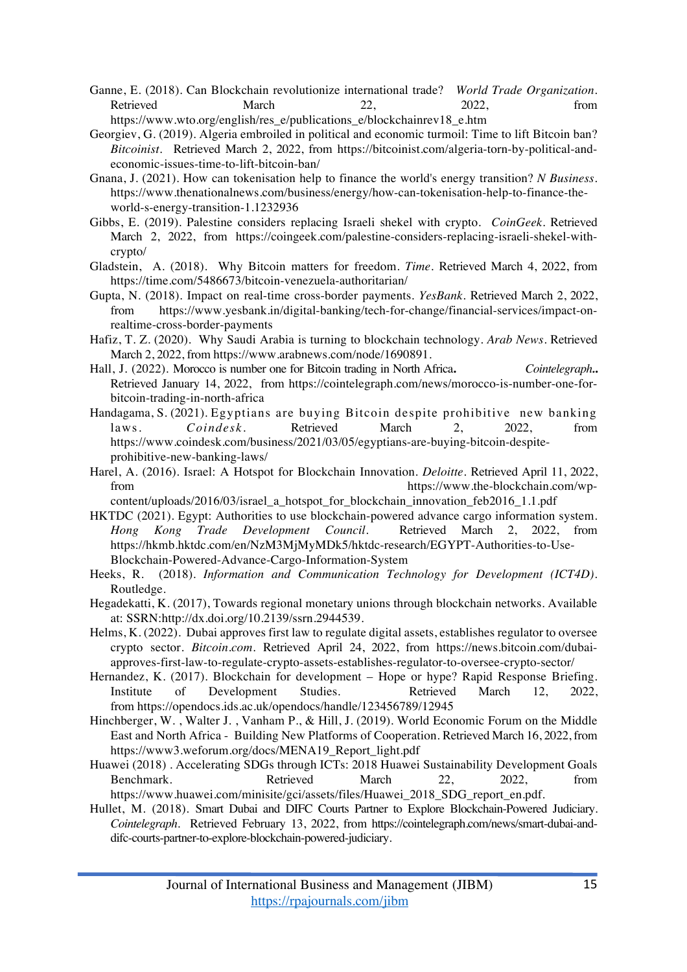- Ganne, E. (2018). Can Blockchain revolutionize international trade? *World Trade Organization*. Retrieved March 22, 2022, from https://www.wto.org/english/res\_e/publications\_e/blockchainrev18\_e.htm
- Georgiev, G. (2019). Algeria embroiled in political and economic turmoil: Time to lift Bitcoin ban? *Bitcoinist*. Retrieved March 2, 2022, from https://bitcoinist.com/algeria-torn-by-political-andeconomic-issues-time-to-lift-bitcoin-ban/
- Gnana, J. (2021). How can tokenisation help to finance the world's energy transition? *N Business*. https://www.thenationalnews.com/business/energy/how-can-tokenisation-help-to-finance-theworld-s-energy-transition-1.1232936
- Gibbs, E. (2019). Palestine considers replacing Israeli shekel with crypto. *CoinGeek*. Retrieved March 2, 2022, from https://coingeek.com/palestine-considers-replacing-israeli-shekel-withcrypto/
- Gladstein, A. (2018). Why Bitcoin matters for freedom. *Time*. Retrieved March 4, 2022, from https://time.com/5486673/bitcoin-venezuela-authoritarian/
- Gupta, N. (2018). Impact on real-time cross-border payments. *YesBank.* Retrieved March 2, 2022, from https://www.yesbank.in/digital-banking/tech-for-change/financial-services/impact-onrealtime-cross-border-payments
- Hafiz, T. Z. (2020). Why Saudi Arabia is turning to blockchain technology. *Arab News*. Retrieved March 2, 2022, from https://www.arabnews.com/node/1690891.
- Hall, J. (2022). Morocco is number one for Bitcoin trading in North Africa**.** *Cointelegraph.***.**  Retrieved January 14, 2022, from https://cointelegraph.com/news/morocco-is-number-one-forbitcoin-trading-in-north-africa
- Handagama, S. (2021). Egyptians are buying Bitcoin despite prohibitive new banking laws. *Coindesk*. Retrieved March 2, 2022, from https://www.coindesk.com/business/2021/03/05/egyptians-are-buying-bitcoin-despiteprohibitive-new-banking-laws/
- Harel, A. (2016). Israel: A Hotspot for Blockchain Innovation. *Deloitte*. Retrieved April 11, 2022, from https://www.the-blockchain.com/wp-
- content/uploads/2016/03/israel\_a\_hotspot\_for\_blockchain\_innovation\_feb2016\_1.1.pdf HKTDC (2021). Egypt: Authorities to use blockchain-powered advance cargo information system. *Hong Kong Trade Development Council*. Retrieved March 2, 2022, from https://hkmb.hktdc.com/en/NzM3MjMyMDk5/hktdc-research/EGYPT-Authorities-to-Use-Blockchain-Powered-Advance-Cargo-Information-System
- Heeks, R. (2018). *Information and Communication Technology for Development (ICT4D)*. Routledge.
- Hegadekatti, K. (2017), Towards regional monetary unions through blockchain networks. Available at: SSRN:http://dx.doi.org/10.2139/ssrn.2944539.
- Helms, K. (2022). Dubai approves first law to regulate digital assets, establishes regulator to oversee crypto sector. *Bitcoin.com*. Retrieved April 24, 2022, from https://news.bitcoin.com/dubaiapproves-first-law-to-regulate-crypto-assets-establishes-regulator-to-oversee-crypto-sector/
- Hernandez, K. (2017). Blockchain for development Hope or hype? Rapid Response Briefing. Institute of Development Studies. Retrieved March 12, 2022, from https://opendocs.ids.ac.uk/opendocs/handle/123456789/12945
- Hinchberger, W. , Walter J. , Vanham P., & Hill, J. (2019). World Economic Forum on the Middle East and North Africa - Building New Platforms of Cooperation. Retrieved March 16, 2022, from https://www3.weforum.org/docs/MENA19\_Report\_light.pdf
- Huawei (2018) . Accelerating SDGs through ICTs: 2018 Huawei Sustainability Development Goals Benchmark. Retrieved March 22, 2022, from https://www.huawei.com/minisite/gci/assets/files/Huawei\_2018\_SDG\_report\_en.pdf.
- Hullet, M. (2018). Smart Dubai and DIFC Courts Partner to Explore Blockchain-Powered Judiciary. *Cointelegraph*. Retrieved February 13, 2022, from https://cointelegraph.com/news/smart-dubai-anddifc-courts-partner-to-explore-blockchain-powered-judiciary.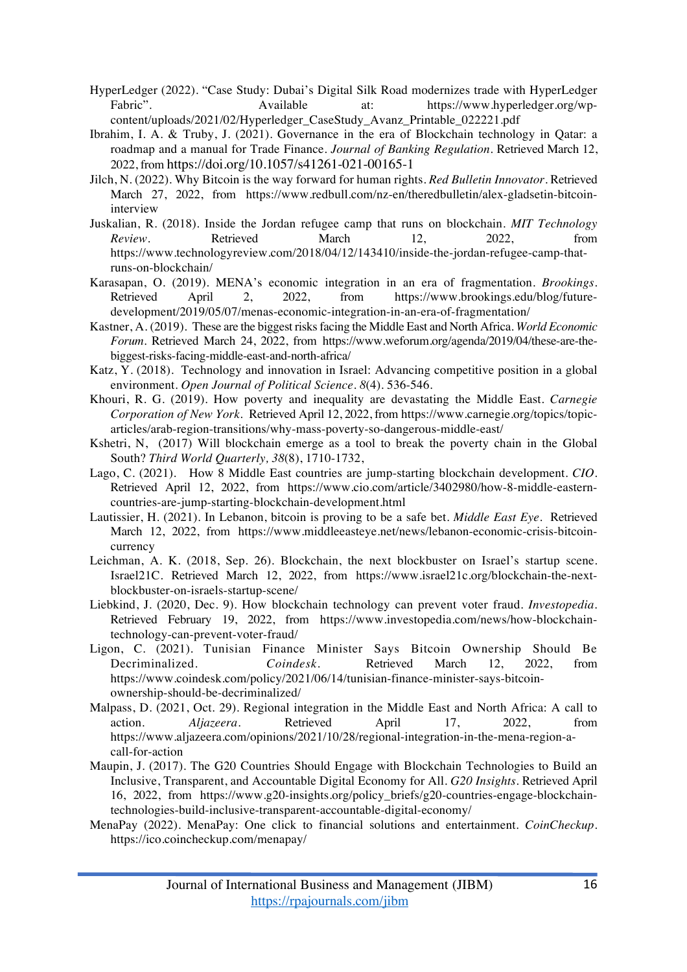- HyperLedger (2022). "Case Study: Dubai's Digital Silk Road modernizes trade with HyperLedger Fabric". Available at: https://www.hyperledger.org/wpcontent/uploads/2021/02/Hyperledger\_CaseStudy\_Avanz\_Printable\_022221.pdf
- Ibrahim, I. A. & Truby, J. (2021). Governance in the era of Blockchain technology in Qatar: a roadmap and a manual for Trade Finance. *Journal of Banking Regulation.* Retrieved March 12, 2022, from https://doi.org/10.1057/s41261-021-00165-1
- Jilch, N. (2022). Why Bitcoin is the way forward for human rights. *Red Bulletin Innovator*. Retrieved March 27, 2022, from https://www.redbull.com/nz-en/theredbulletin/alex-gladsetin-bitcoininterview
- Juskalian, R. (2018). Inside the Jordan refugee camp that runs on blockchain. *MIT Technology Review*. Retrieved March 12, 2022, from https://www.technologyreview.com/2018/04/12/143410/inside-the-jordan-refugee-camp-thatruns-on-blockchain/
- Karasapan, O. (2019). MENA's economic integration in an era of fragmentation. *Brookings*. Retrieved April 2, 2022, from https://www.brookings.edu/blog/futuredevelopment/2019/05/07/menas-economic-integration-in-an-era-of-fragmentation/
- Kastner, A. (2019). These are the biggest risks facing the Middle East and North Africa. *World Economic Forum*. Retrieved March 24, 2022, from https://www.weforum.org/agenda/2019/04/these-are-thebiggest-risks-facing-middle-east-and-north-africa/
- Katz, Y. (2018). Technology and innovation in Israel: Advancing competitive position in a global environment. *Open Journal of Political Science. 8*(4). 536-546.
- Khouri, R. G. (2019). How poverty and inequality are devastating the Middle East. *Carnegie Corporation of New York*. Retrieved April 12, 2022, from https://www.carnegie.org/topics/topicarticles/arab-region-transitions/why-mass-poverty-so-dangerous-middle-east/
- Kshetri, N, (2017) Will blockchain emerge as a tool to break the poverty chain in the Global South? *Third World Quarterly, 38*(8), 1710-1732,
- Lago, C. (2021). How 8 Middle East countries are jump-starting blockchain development. *CIO*. Retrieved April 12, 2022, from https://www.cio.com/article/3402980/how-8-middle-easterncountries-are-jump-starting-blockchain-development.html
- Lautissier, H. (2021). In Lebanon, bitcoin is proving to be a safe bet. *Middle East Eye*. Retrieved March 12, 2022, from https://www.middleeasteye.net/news/lebanon-economic-crisis-bitcoincurrency
- Leichman, A. K. (2018, Sep. 26). Blockchain, the next blockbuster on Israel's startup scene. Israel21C. Retrieved March 12, 2022, from https://www.israel21c.org/blockchain-the-nextblockbuster-on-israels-startup-scene/
- Liebkind, J. (2020, Dec. 9). How blockchain technology can prevent voter fraud. *Investopedia.* Retrieved February 19, 2022, from https://www.investopedia.com/news/how-blockchaintechnology-can-prevent-voter-fraud/
- Ligon, C. (2021). Tunisian Finance Minister Says Bitcoin Ownership Should Be Decriminalized. *Coindesk*. Retrieved March 12, 2022, from https://www.coindesk.com/policy/2021/06/14/tunisian-finance-minister-says-bitcoinownership-should-be-decriminalized/
- Malpass, D. (2021, Oct. 29). Regional integration in the Middle East and North Africa: A call to action. *Aljazeera*. Retrieved April 17, 2022, from https://www.aljazeera.com/opinions/2021/10/28/regional-integration-in-the-mena-region-acall-for-action
- Maupin, J. (2017). The G20 Countries Should Engage with Blockchain Technologies to Build an Inclusive, Transparent, and Accountable Digital Economy for All. *G20 Insights*. Retrieved April 16, 2022, from https://www.g20-insights.org/policy\_briefs/g20-countries-engage-blockchaintechnologies-build-inclusive-transparent-accountable-digital-economy/
- MenaPay (2022). MenaPay: One click to financial solutions and entertainment. *CoinCheckup*. https://ico.coincheckup.com/menapay/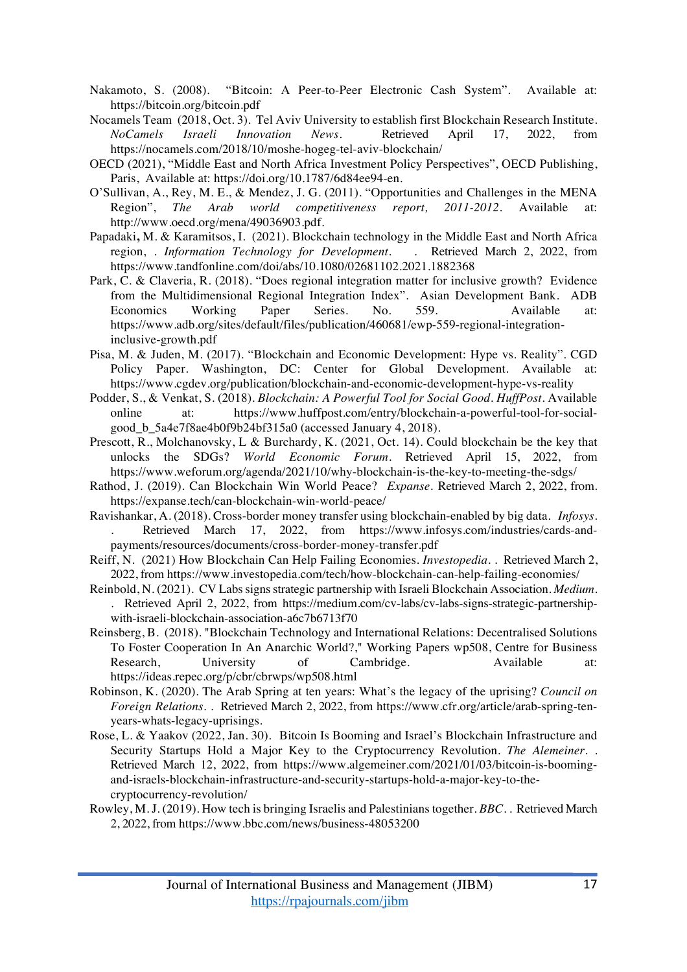- Nakamoto, S. (2008). "Bitcoin: A Peer-to-Peer Electronic Cash System". Available at: https://bitcoin.org/bitcoin.pdf
- Nocamels Team (2018, Oct. 3). Tel Aviv University to establish first Blockchain Research Institute. *NoCamels Israeli Innovation News*. Retrieved April 17, 2022, from https://nocamels.com/2018/10/moshe-hogeg-tel-aviv-blockchain/
- OECD (2021), "Middle East and North Africa Investment Policy Perspectives", OECD Publishing, Paris, Available at: https://doi.org/10.1787/6d84ee94-en.
- O'Sullivan, A., Rey, M. E., & Mendez, J. G. (2011). "Opportunities and Challenges in the MENA Region", *The Arab world competitiveness report, 2011-2012*. Available at: http://www.oecd.org/mena/49036903.pdf.
- Papadaki**,** M. & Karamitsos, I. (2021). Blockchain technology in the Middle East and North Africa region, . *Information Technology for Development*. https://www.tandfonline.com/doi/abs/10.1080/02681102.2021.1882368
- Park, C. & Claveria, R. (2018). "Does regional integration matter for inclusive growth? Evidence from the Multidimensional Regional Integration Index". Asian Development Bank. ADB Economics Working Paper Series. No. 559. Available at: https://www.adb.org/sites/default/files/publication/460681/ewp-559-regional-integrationinclusive-growth.pdf
- Pisa, M. & Juden, M. (2017). "Blockchain and Economic Development: Hype vs. Reality". CGD Policy Paper. Washington, DC: Center for Global Development. Available at: https://www.cgdev.org/publication/blockchain-and-economic-development-hype-vs-reality
- Podder, S., & Venkat, S. (2018). *Blockchain: A Powerful Tool for Social Good. HuffPost*. Available online at: https://www.huffpost.com/entry/blockchain-a-powerful-tool-for-socialgood\_b\_5a4e7f8ae4b0f9b24bf315a0 (accessed January 4, 2018).
- Prescott, R., Molchanovsky, L & Burchardy, K. (2021, Oct. 14). Could blockchain be the key that unlocks the SDGs? *World Economic Forum*. Retrieved April 15, 2022, from https://www.weforum.org/agenda/2021/10/why-blockchain-is-the-key-to-meeting-the-sdgs/
- Rathod, J. (2019). Can Blockchain Win World Peace? *Expanse*. Retrieved March 2, 2022, from. https://expanse.tech/can-blockchain-win-world-peace/
- Ravishankar, A. (2018). Cross-border money transfer using blockchain-enabled by big data. *Infosys*. Retrieved March 17, 2022, from https://www.infosys.com/industries/cards-andpayments/resources/documents/cross-border-money-transfer.pdf
- Reiff, N. (2021) How Blockchain Can Help Failing Economies. *Investopedia*. . Retrieved March 2, 2022, from https://www.investopedia.com/tech/how-blockchain-can-help-failing-economies/
- Reinbold, N. (2021). CV Labs signs strategic partnership with Israeli Blockchain Association. *Medium*. . Retrieved April 2, 2022, from https://medium.com/cv-labs/cv-labs-signs-strategic-partnershipwith-israeli-blockchain-association-a6c7b6713f70
- Reinsberg, B. (2018). "Blockchain Technology and International Relations: Decentralised Solutions To Foster Cooperation In An Anarchic World?," Working Papers wp508, Centre for Business Research, University of Cambridge. Available at: https://ideas.repec.org/p/cbr/cbrwps/wp508.html
- Robinson, K. (2020). The Arab Spring at ten years: What's the legacy of the uprising? *Council on Foreign Relations*. . Retrieved March 2, 2022, from https://www.cfr.org/article/arab-spring-tenyears-whats-legacy-uprisings.
- Rose, L. & Yaakov (2022, Jan. 30). Bitcoin Is Booming and Israel's Blockchain Infrastructure and Security Startups Hold a Major Key to the Cryptocurrency Revolution. *The Alemeiner*. . Retrieved March 12, 2022, from https://www.algemeiner.com/2021/01/03/bitcoin-is-boomingand-israels-blockchain-infrastructure-and-security-startups-hold-a-major-key-to-thecryptocurrency-revolution/
- Rowley, M. J. (2019). How tech is bringing Israelis and Palestinians together. *BBC*. . Retrieved March 2, 2022, from https://www.bbc.com/news/business-48053200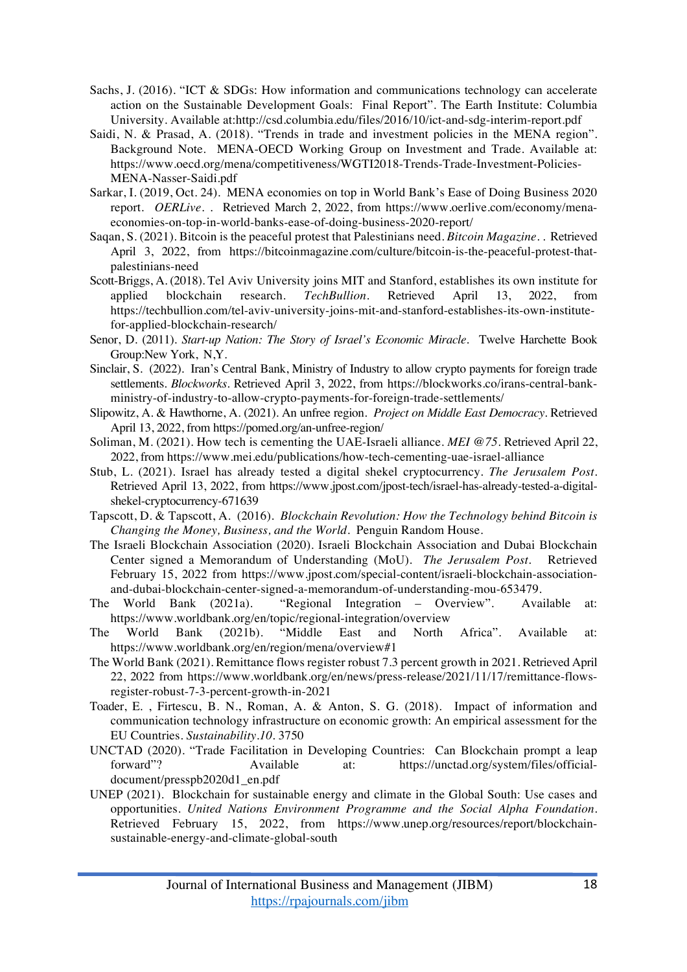- Sachs, J. (2016). "ICT & SDGs: How information and communications technology can accelerate action on the Sustainable Development Goals: Final Report". The Earth Institute: Columbia University. Available at:http://csd.columbia.edu/files/2016/10/ict-and-sdg-interim-report.pdf
- Saidi, N. & Prasad, A. (2018). "Trends in trade and investment policies in the MENA region". Background Note. MENA-OECD Working Group on Investment and Trade. Available at: https://www.oecd.org/mena/competitiveness/WGTI2018-Trends-Trade-Investment-Policies-MENA-Nasser-Saidi.pdf
- Sarkar, I. (2019, Oct. 24). MENA economies on top in World Bank's Ease of Doing Business 2020 report. *OERLive*. . Retrieved March 2, 2022, from https://www.oerlive.com/economy/menaeconomies-on-top-in-world-banks-ease-of-doing-business-2020-report/
- Saqan, S. (2021). Bitcoin is the peaceful protest that Palestinians need. *Bitcoin Magazine.* . Retrieved April 3, 2022, from https://bitcoinmagazine.com/culture/bitcoin-is-the-peaceful-protest-thatpalestinians-need
- Scott-Briggs, A. (2018). Tel Aviv University joins MIT and Stanford, establishes its own institute for applied blockchain research. *TechBullion*. Retrieved April 13, 2022, from https://techbullion.com/tel-aviv-university-joins-mit-and-stanford-establishes-its-own-institutefor-applied-blockchain-research/
- Senor, D. (2011). *Start-up Nation: The Story of Israel's Economic Miracle*. Twelve Harchette Book Group:New York, N,Y.
- Sinclair, S. (2022). Iran's Central Bank, Ministry of Industry to allow crypto payments for foreign trade settlements. *Blockworks*. Retrieved April 3, 2022, from https://blockworks.co/irans-central-bankministry-of-industry-to-allow-crypto-payments-for-foreign-trade-settlements/
- Slipowitz, A. & Hawthorne, A. (2021). An unfree region. *Project on Middle East Democracy*. Retrieved April 13, 2022, from https://pomed.org/an-unfree-region/
- Soliman, M. (2021). How tech is cementing the UAE-Israeli alliance. *MEI @75*. Retrieved April 22, 2022, from https://www.mei.edu/publications/how-tech-cementing-uae-israel-alliance
- Stub, L. (2021). Israel has already tested a digital shekel cryptocurrency. *The Jerusalem Post*. Retrieved April 13, 2022, from https://www.jpost.com/jpost-tech/israel-has-already-tested-a-digitalshekel-cryptocurrency-671639
- Tapscott, D. & Tapscott, A. (2016). *Blockchain Revolution: How the Technology behind Bitcoin is Changing the Money, Business, and the World*. Penguin Random House.
- The Israeli Blockchain Association (2020). Israeli Blockchain Association and Dubai Blockchain Center signed a Memorandum of Understanding (MoU). *The Jerusalem Post*. Retrieved February 15, 2022 from https://www.jpost.com/special-content/israeli-blockchain-associationand-dubai-blockchain-center-signed-a-memorandum-of-understanding-mou-653479.
- The World Bank (2021a). "Regional Integration Overview". Available at: https://www.worldbank.org/en/topic/regional-integration/overview
- The World Bank (2021b). "Middle East and North Africa". Available at: https://www.worldbank.org/en/region/mena/overview#1
- The World Bank (2021). Remittance flows register robust 7.3 percent growth in 2021. Retrieved April 22, 2022 from https://www.worldbank.org/en/news/press-release/2021/11/17/remittance-flowsregister-robust-7-3-percent-growth-in-2021
- Toader, E. , Firtescu, B. N., Roman, A. & Anton, S. G. (2018). Impact of information and communication technology infrastructure on economic growth: An empirical assessment for the EU Countries. *Sustainability.10*. 3750
- UNCTAD (2020). "Trade Facilitation in Developing Countries: Can Blockchain prompt a leap forward"? Available at: https://unctad.org/system/files/officialdocument/presspb2020d1\_en.pdf
- UNEP (2021). Blockchain for sustainable energy and climate in the Global South: Use cases and opportunities. *United Nations Environment Programme and the Social Alpha Foundation*. Retrieved February 15, 2022, from https://www.unep.org/resources/report/blockchainsustainable-energy-and-climate-global-south